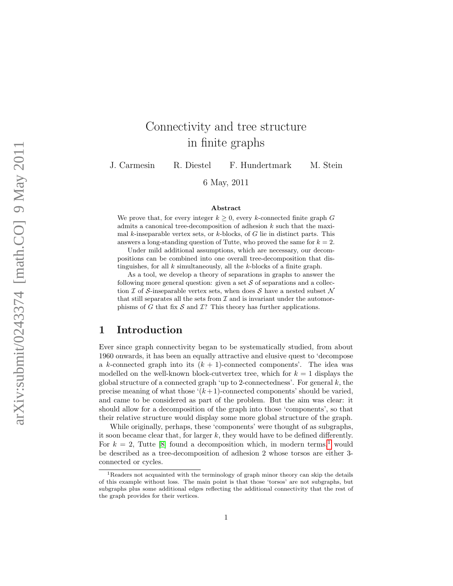# Connectivity and tree structure in finite graphs

J. Carmesin R. Diestel F. Hundertmark M. Stein

6 May, 2011

#### Abstract

We prove that, for every integer  $k \geq 0$ , every k-connected finite graph G admits a canonical tree-decomposition of adhesion k such that the maximal k-inseparable vertex sets, or  $k$ -blocks, of  $G$  lie in distinct parts. This answers a long-standing question of Tutte, who proved the same for  $k = 2$ .

Under mild additional assumptions, which are necessary, our decompositions can be combined into one overall tree-decomposition that distinguishes, for all  $k$  simultaneously, all the  $k$ -blocks of a finite graph.

As a tool, we develop a theory of separations in graphs to answer the following more general question: given a set  $S$  of separations and a collection I of S-inseparable vertex sets, when does S have a nested subset  $\mathcal N$ that still separates all the sets from  $\mathcal I$  and is invariant under the automorphisms of G that fix  $S$  and T? This theory has further applications.

### 1 Introduction

Ever since graph connectivity began to be systematically studied, from about 1960 onwards, it has been an equally attractive and elusive quest to 'decompose a k-connected graph into its  $(k + 1)$ -connected components'. The idea was modelled on the well-known block-cutvertex tree, which for  $k = 1$  displays the global structure of a connected graph 'up to 2-connectedness'. For general  $k$ , the precise meaning of what those  $(k+1)$ -connected components' should be varied, and came to be considered as part of the problem. But the aim was clear: it should allow for a decomposition of the graph into those 'components', so that their relative structure would display some more global structure of the graph.

While originally, perhaps, these 'components' were thought of as subgraphs, it soon became clear that, for larger  $k$ , they would have to be defined differently. For  $k = 2$ , Tutte [\[8\]](#page-28-0) found a decomposition which, in modern terms,<sup>[1](#page-0-0)</sup> would be described as a tree-decomposition of adhesion 2 whose torsos are either 3 connected or cycles.

<span id="page-0-0"></span><sup>&</sup>lt;sup>1</sup>Readers not acquainted with the terminology of graph minor theory can skip the details of this example without loss. The main point is that those 'torsos' are not subgraphs, but subgraphs plus some additional edges reflecting the additional connectivity that the rest of the graph provides for their vertices.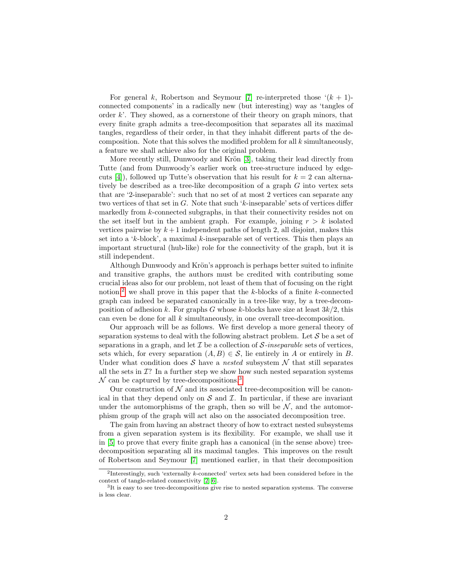For general k, Robertson and Seymour [\[7\]](#page-28-1) re-interpreted those  $(k + 1)$ connected components' in a radically new (but interesting) way as 'tangles of order  $k'$ . They showed, as a cornerstone of their theory on graph minors, that every finite graph admits a tree-decomposition that separates all its maximal tangles, regardless of their order, in that they inhabit different parts of the decomposition. Note that this solves the modified problem for all  $k$  simultaneously, a feature we shall achieve also for the original problem.

More recently still, Dunwoody and Krön [\[3\]](#page-28-2), taking their lead directly from Tutte (and from Dunwoody's earlier work on tree-structure induced by edge-cuts [\[4\]](#page-28-3)), followed up Tutte's observation that his result for  $k = 2$  can alternatively be described as a tree-like decomposition of a graph G into vertex sets that are '2-inseparable': such that no set of at most 2 vertices can separate any two vertices of that set in G. Note that such 'k-inseparable' sets of vertices differ markedly from k-connected subgraphs, in that their connectivity resides not on the set itself but in the ambient graph. For example, joining  $r > k$  isolated vertices pairwise by  $k+1$  independent paths of length 2, all disjoint, makes this set into a 'k-block', a maximal k-inseparable set of vertices. This then plays an important structural (hub-like) role for the connectivity of the graph, but it is still independent.

Although Dunwoody and Krön's approach is perhaps better suited to infinite and transitive graphs, the authors must be credited with contributing some crucial ideas also for our problem, not least of them that of focusing on the right notion:<sup>[2](#page-1-0)</sup> we shall prove in this paper that the k-blocks of a finite k-connected graph can indeed be separated canonically in a tree-like way, by a tree-decomposition of adhesion k. For graphs G whose k-blocks have size at least  $3k/2$ , this can even be done for all  $k$  simultaneously, in one overall tree-decomposition.

Our approach will be as follows. We first develop a more general theory of separation systems to deal with the following abstract problem. Let  $\mathcal S$  be a set of separations in a graph, and let  $\mathcal I$  be a collection of  $\mathcal S$ -inseparable sets of vertices, sets which, for every separation  $(A, B) \in \mathcal{S}$ , lie entirely in A or entirely in B. Under what condition does S have a nested subsystem  $\mathcal N$  that still separates all the sets in  $\mathcal{I}$ ? In a further step we show how such nested separation systems  $\mathcal N$  can be captured by tree-decompositions.<sup>[3](#page-1-1)</sup>

Our construction of  $\mathcal N$  and its associated tree-decomposition will be canonical in that they depend only on  $S$  and  $\mathcal I$ . In particular, if these are invariant under the automorphisms of the graph, then so will be  $N$ , and the automorphism group of the graph will act also on the associated decomposition tree.

The gain from having an abstract theory of how to extract nested subsystems from a given separation system is its flexibility. For example, we shall use it in [\[5\]](#page-28-4) to prove that every finite graph has a canonical (in the sense above) treedecomposition separating all its maximal tangles. This improves on the result of Robertson and Seymour [\[7\]](#page-28-1) mentioned earlier, in that their decomposition

<span id="page-1-0"></span><sup>&</sup>lt;sup>2</sup>Interestingly, such 'externally  $k$ -connected' vertex sets had been considered before in the context of tangle-related connectivity [\[2,](#page-28-5) [6\]](#page-28-6).

<span id="page-1-1"></span><sup>&</sup>lt;sup>3</sup>It is easy to see tree-decompositions give rise to nested separation systems. The converse is less clear.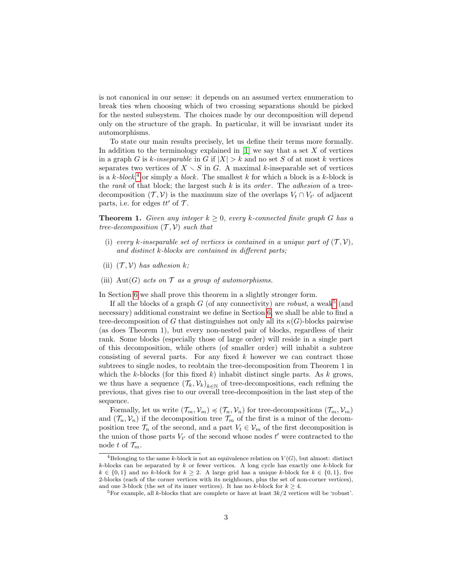is not canonical in our sense: it depends on an assumed vertex enumeration to break ties when choosing which of two crossing separations should be picked for the nested subsystem. The choices made by our decomposition will depend only on the structure of the graph. In particular, it will be invariant under its automorphisms.

To state our main results precisely, let us define their terms more formally. In addition to the terminology explained in  $[1]$  we say that a set X of vertices in a graph G is k-inseparable in G if  $|X| > k$  and no set S of at most k vertices separates two vertices of  $X \setminus S$  in G. A maximal k-inseparable set of vertices is a  $k$ -block,<sup>[4](#page-2-0)</sup> or simply a block. The smallest k for which a block is a k-block is the rank of that block; the largest such  $k$  is its *order*. The *adhesion* of a treedecomposition  $(\mathcal{T}, \mathcal{V})$  is the maximum size of the overlaps  $V_t \cap V_{t'}$  of adjacent parts, i.e. for edges  $tt'$  of  $\mathcal T$ .

**Theorem 1.** Given any integer  $k \geq 0$ , every k-connected finite graph G has a tree-decomposition  $(\mathcal{T}, \mathcal{V})$  such that

- (i) every k-inseparable set of vertices is contained in a unique part of  $(\mathcal{T}, \mathcal{V})$ , and distinct k-blocks are contained in different parts;
- (ii)  $(\mathcal{T}, \mathcal{V})$  has adhesion k;
- (iii) Aut(G) acts on  $\mathcal T$  as a group of automorphisms.

In Section [6](#page-19-0) we shall prove this theorem in a slightly stronger form.

If all the blocks of a graph  $G$  (of any connectivity) are *robust*, a weak<sup>[5](#page-2-1)</sup> (and necessary) additional constraint we define in Section [6,](#page-19-0) we shall be able to find a tree-decomposition of G that distinguishes not only all its  $\kappa(G)$ -blocks pairwise (as does Theorem 1), but every non-nested pair of blocks, regardless of their rank. Some blocks (especially those of large order) will reside in a single part of this decomposition, while others (of smaller order) will inhabit a subtree consisting of several parts. For any fixed  $k$  however we can contract those subtrees to single nodes, to reobtain the tree-decomposition from Theorem 1 in which the k-blocks (for this fixed  $k$ ) inhabit distinct single parts. As  $k$  grows, we thus have a sequence  $(\mathcal{T}_k, \mathcal{V}_k)_{k \in \mathbb{N}}$  of tree-decompositions, each refining the previous, that gives rise to our overall tree-decomposition in the last step of the sequence.

Formally, let us write  $(\mathcal{T}_m, \mathcal{V}_m) \preccurlyeq (\mathcal{T}_n, \mathcal{V}_n)$  for tree-decompositions  $(\mathcal{T}_m, \mathcal{V}_m)$ and  $(\mathcal{T}_n, \mathcal{V}_n)$  if the decomposition tree  $\mathcal{T}_m$  of the first is a minor of the decomposition tree  $\mathcal{T}_n$  of the second, and a part  $V_t \in \mathcal{V}_m$  of the first decomposition is the union of those parts  $V_{t'}$  of the second whose nodes  $t'$  were contracted to the node t of  $\mathcal{T}_m$ .

<span id="page-2-0"></span><sup>&</sup>lt;sup>4</sup>Belonging to the same k-block is not an equivalence relation on  $V(G)$ , but almost: distinct  $k$ -blocks can be separated by k or fewer vertices. A long cycle has exactly one k-block for  $k \in \{0,1\}$  and no k-block for  $k \geq 2$ . A large grid has a unique k-block for  $k \in \{0,1\}$ , five 2-blocks (each of the corner vertices with its neighbours, plus the set of non-corner vertices), and one 3-block (the set of its inner vertices). It has no k-block for  $k \geq 4$ .

<span id="page-2-1"></span><sup>&</sup>lt;sup>5</sup>For example, all k-blocks that are complete or have at least  $3k/2$  vertices will be 'robust'.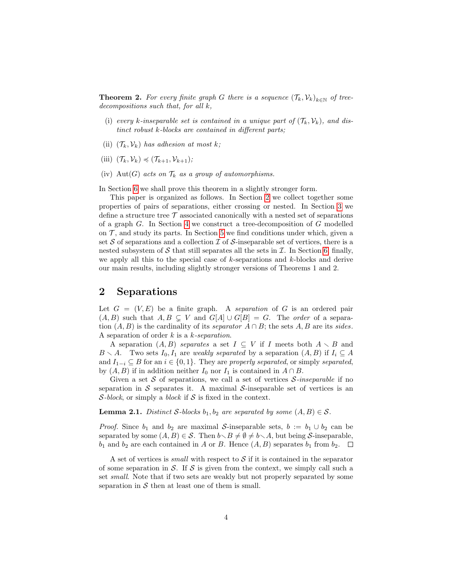**Theorem 2.** For every finite graph G there is a sequence  $(\mathcal{T}_k, \mathcal{V}_k)_{k \in \mathbb{N}}$  of treedecompositions such that, for all k,

- (i) every k-inseparable set is contained in a unique part of  $(\mathcal{T}_k, \mathcal{V}_k)$ , and distinct robust k-blocks are contained in different parts;
- (ii)  $(\mathcal{T}_k, \mathcal{V}_k)$  has adhesion at most k;
- (iii)  $(\mathcal{T}_k, \mathcal{V}_k) \preccurlyeq (\mathcal{T}_{k+1}, \mathcal{V}_{k+1});$
- (iv) Aut(G) acts on  $\mathcal{T}_k$  as a group of automorphisms.

In Section [6](#page-19-0) we shall prove this theorem in a slightly stronger form.

This paper is organized as follows. In Section [2](#page-3-0) we collect together some properties of pairs of separations, either crossing or nested. In Section [3](#page-7-0) we define a structure tree  $\mathcal T$  associated canonically with a nested set of separations of a graph G. In Section [4](#page-10-0) we construct a tree-decomposition of G modelled on  $\mathcal{T}$ , and study its parts. In Section [5](#page-16-0) we find conditions under which, given a set S of separations and a collection  $\mathcal I$  of S-inseparable set of vertices, there is a nested subsystem of  $S$  that still separates all the sets in  $I$ . In Section [6,](#page-19-0) finally, we apply all this to the special case of  $k$ -separations and  $k$ -blocks and derive our main results, including slightly stronger versions of Theorems 1 and 2.

### <span id="page-3-0"></span>2 Separations

Let  $G = (V, E)$  be a finite graph. A separation of G is an ordered pair  $(A, B)$  such that  $A, B \subseteq V$  and  $G[A] \cup G[B] = G$ . The *order* of a separation  $(A, B)$  is the cardinality of its separator  $A \cap B$ ; the sets  $A, B$  are its sides. A separation of order k is a k-separation.

A separation  $(A, B)$  separates a set  $I \subseteq V$  if I meets both  $A \setminus B$  and  $B \setminus A$ . Two sets  $I_0, I_1$  are weakly separated by a separation  $(A, B)$  if  $I_i \subseteq A$ and  $I_{1-i} \subseteq B$  for an  $i \in \{0,1\}$ . They are properly separated, or simply separated, by  $(A, B)$  if in addition neither  $I_0$  nor  $I_1$  is contained in  $A \cap B$ .

Given a set  $S$  of separations, we call a set of vertices  $S$ -inseparable if no separation in S separates it. A maximal S-inseparable set of vertices is an S-block, or simply a block if S is fixed in the context.

#### <span id="page-3-1"></span>**Lemma 2.1.** Distinct S-blocks  $b_1, b_2$  are separated by some  $(A, B) \in S$ .

*Proof.* Since  $b_1$  and  $b_2$  are maximal S-inseparable sets,  $b := b_1 \cup b_2$  can be separated by some  $(A, B) \in \mathcal{S}$ . Then  $b \setminus B \neq \emptyset \neq b \setminus A$ , but being S-inseparable,  $b_1$  and  $b_2$  are each contained in A or B. Hence  $(A, B)$  separates  $b_1$  from  $b_2$ .  $\Box$ 

A set of vertices is *small* with respect to  $S$  if it is contained in the separator of some separation in  $\mathcal S$ . If  $\mathcal S$  is given from the context, we simply call such a set small. Note that if two sets are weakly but not properly separated by some separation in  $S$  then at least one of them is small.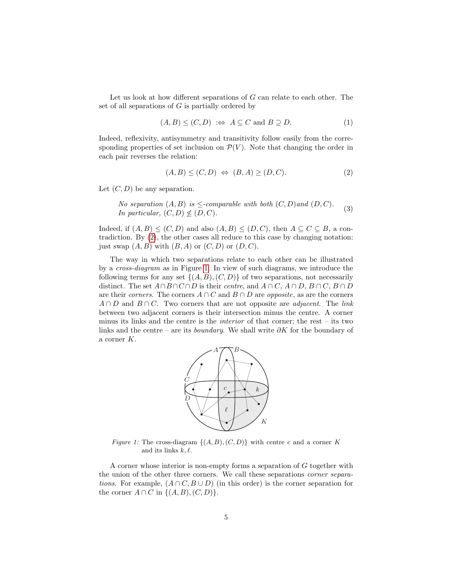Let us look at how different separations of G can relate to each other. The set of all separations of  $G$  is partially ordered by

<span id="page-4-2"></span>
$$
(A, B) \le (C, D) \iff A \subseteq C \text{ and } B \supseteq D. \tag{1}
$$

Indeed, reflexivity, antisymmetry and transitivity follow easily from the corresponding properties of set inclusion on  $\mathcal{P}(V)$ . Note that changing the order in each pair reverses the relation:

<span id="page-4-0"></span>
$$
(A,B) \le (C,D) \iff (B,A) \ge (D,C). \tag{2}
$$

Let  $(C, D)$  be any separation.

<span id="page-4-3"></span>No separation  $(A, B)$  is  $\leq$ -comparable with both  $(C, D)$  and  $(D, C)$ . In particular,  $(C, D) \nleq (D, C)$ . (3)

Indeed, if  $(A, B) \leq (C, D)$  and also  $(A, B) \leq (D, C)$ , then  $A \subseteq C \subseteq B$ , a contradiction. By [\(2\)](#page-4-0), the other cases all reduce to this case by changing notation: just swap  $(A, B)$  with  $(B, A)$  or  $(C, D)$  or  $(D, C)$ .

The way in which two separations relate to each other can be illustrated by a cross-diagram as in Figure [1.](#page-4-1) In view of such diagrams, we introduce the following terms for any set  $\{(A, B), (C, D)\}\$ of two separations, not necessarily distinct. The set  $A \cap B \cap C \cap D$  is their *centre*, and  $A \cap C$ ,  $A \cap D$ ,  $B \cap C$ ,  $B \cap D$ are their corners. The corners  $A \cap C$  and  $B \cap D$  are opposite, as are the corners  $A \cap D$  and  $B \cap C$ . Two corners that are not opposite are *adjacent*. The link between two adjacent corners is their intersection minus the centre. A corner minus its links and the centre is the interior of that corner; the rest – its two links and the centre – are its *boundary*. We shall write  $\partial K$  for the boundary of a corner K.

<span id="page-4-1"></span>

Figure 1: The cross-diagram  $\{(A, B), (C, D)\}\$  with centre c and a corner K and its links  $k, \ell$ .

A corner whose interior is non-empty forms a separation of G together with the union of the other three corners. We call these separations corner separations. For example,  $(A \cap C, B \cup D)$  (in this order) is the corner separation for the corner  $A \cap C$  in  $\{(A, B), (C, D)\}.$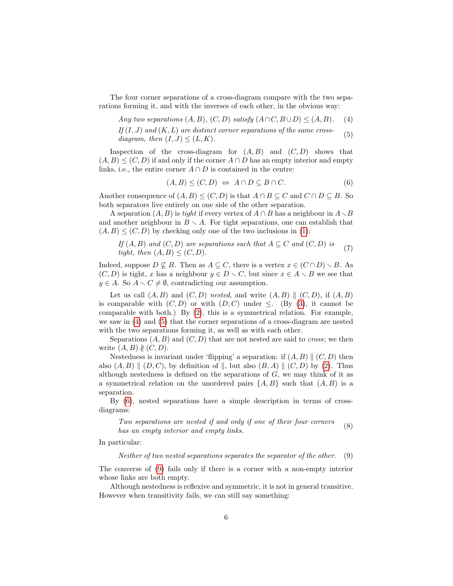The four corner separations of a cross-diagram compare with the two separations forming it, and with the inverses of each other, in the obvious way:

<span id="page-5-0"></span>Any two separations 
$$
(A, B)
$$
,  $(C, D)$  satisfy  $(A \cap C, B \cup D) \le (A, B)$ . (4)

<span id="page-5-1"></span>If  $(I, J)$  and  $(K, L)$  are distinct corner separations of the same crossdiagram, then  $(I, J) \leq (L, K)$ . (5)

Inspection of the cross-diagram for  $(A, B)$  and  $(C, D)$  shows that  $(A, B) \leq (C, D)$  if and only if the corner  $A \cap D$  has an empty interior and empty links, i.e., the entire corner  $A \cap D$  is contained in the centre:

<span id="page-5-2"></span>
$$
(A,B) \le (C,D) \Leftrightarrow A \cap D \subseteq B \cap C. \tag{6}
$$

Another consequence of  $(A, B) \leq (C, D)$  is that  $A \cap B \subseteq C$  and  $C \cap D \subseteq B$ . So both separators live entirely on one side of the other separation.

A separation  $(A, B)$  is tight if every vertex of  $A \cap B$  has a neighbour in  $A \setminus B$ and another neighbour in  $B \setminus A$ . For tight separations, one can establish that  $(A, B) \leq (C, D)$  by checking only one of the two inclusions in [\(1\)](#page-4-2):

If 
$$
(A, B)
$$
 and  $(C, D)$  are separations such that  $A \subseteq C$  and  $(C, D)$  is  
tight, then  $(A, B) \leq (C, D)$ . (7)

Indeed, suppose  $D \not\subseteq B$ . Then as  $A \subseteq C$ , there is a vertex  $x \in (C \cap D) \setminus B$ . As  $(C, D)$  is tight, x has a neighbour  $y \in D \setminus C$ , but since  $x \in A \setminus B$  we see that  $y \in A$ . So  $A \setminus C \neq \emptyset$ , contradicting our assumption.

Let us call  $(A, B)$  and  $(C, D)$  nested, and write  $(A, B) \parallel (C, D)$ , if  $(A, B)$ is comparable with  $(C, D)$  or with  $(D, C)$  under  $\leq$ . (By [\(3\)](#page-4-3), it cannot be comparable with both.) By [\(2\)](#page-4-0), this is a symmetrical relation. For example, we saw in [\(4\)](#page-5-0) and [\(5\)](#page-5-1) that the corner separations of a cross-diagram are nested with the two separations forming it, as well as with each other.

Separations  $(A, B)$  and  $(C, D)$  that are not nested are said to *cross*; we then write  $(A, B)$   $\nparallel (C, D)$ .

Nestedness is invariant under 'flipping' a separation: if  $(A, B)$   $\parallel (C, D)$  then also  $(A, B) \parallel (D, C)$ , by definition of  $\parallel$ , but also  $(B, A) \parallel (C, D)$  by [\(2\)](#page-4-0). Thus although nestedness is defined on the separations of  $G$ , we may think of it as a symmetrical relation on the unordered pairs  $\{A, B\}$  such that  $(A, B)$  is a separation.

By [\(6\)](#page-5-2), nested separations have a simple description in terms of crossdiagrams:

<span id="page-5-4"></span>Two separations are nested if and only if one of their four corners has an empty interior and empty links. (8)

In particular:

<span id="page-5-3"></span>Neither of two nested separations separates the separator of the other. (9)

The converse of [\(9\)](#page-5-3) fails only if there is a corner with a non-empty interior whose links are both empty.

Although nestedness is reflexive and symmetric, it is not in general transitive. However when transitivity fails, we can still say something: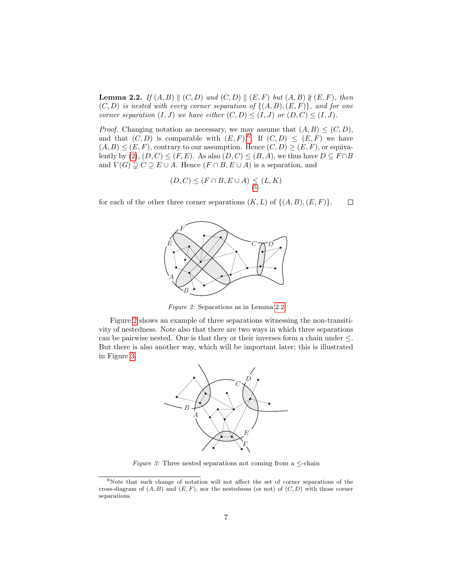<span id="page-6-1"></span>**Lemma 2.2.** If  $(A, B) \parallel (C, D)$  and  $(C, D) \parallel (E, F)$  but  $(A, B) \nparallel (E, F)$ , then  $(C, D)$  is nested with every corner separation of  $\{(A, B), (E, F)\}\$ , and for one corner separation  $(I, J)$  we have either  $(C, D) \leq (I, J)$  or  $(D, C) \leq (I, J)$ .

*Proof.* Changing notation as necessary, we may assume that  $(A, B) \leq (C, D)$ , and that  $(C, D)$  is comparable with  $(E, F)$ .<sup>[6](#page-6-0)</sup> If  $(C, D) \leq (E, F)$  we have  $(A, B) \leq (E, F)$ , contrary to our assumption. Hence  $(C, D) \geq (E, F)$ , or equivalently by  $(2), (D, C) \leq (F, E)$ . As also  $(D, C) \leq (B, A)$ , we thus have  $D \subseteq F \cap B$ and  $V(G) \supsetneq C \supseteq E \cup A$ . Hence  $(F \cap B, E \cup A)$  is a separation, and

$$
(D,C)\leq (F\cap B, E\cup A)\leq (L,K)
$$

<span id="page-6-2"></span>for each of the other three corner separations  $(K, L)$  of  $\{(A, B), (E, F)\}.$  $\Box$ 



Figure 2: Separations as in Lemma [2.2](#page-6-1)

<span id="page-6-3"></span>Figure [2](#page-6-2) shows an example of three separations witnessing the non-transitivity of nestedness. Note also that there are two ways in which three separations can be pairwise nested. One is that they or their inverses form a chain under  $\leq$ . But there is also another way, which will be important later; this is illustrated in Figure [3.](#page-6-3)



Figure 3: Three nested separations not coming from a  $\leq$ -chain

<span id="page-6-0"></span> $6$ Note that such change of notation will not affect the set of corner separations of the cross-diagram of  $(A, B)$  and  $(E, F)$ , nor the nestedness (or not) of  $(C, D)$  with those corner separations.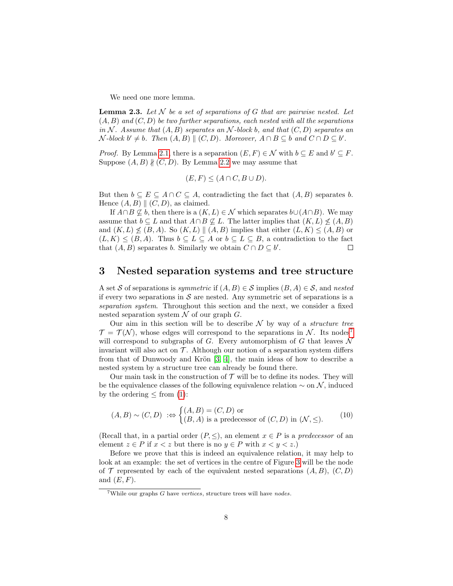We need one more lemma.

<span id="page-7-2"></span>**Lemma 2.3.** Let  $N$  be a set of separations of G that are pairwise nested. Let  $(A, B)$  and  $(C, D)$  be two further separations, each nested with all the separations in N. Assume that  $(A, B)$  separates an N-block b, and that  $(C, D)$  separates an  $\mathcal{N}\text{-block }b' \neq b.$  Then  $(A, B) \parallel (C, D)$ . Moreover,  $A \cap B \subseteq b$  and  $C \cap D \subseteq b'$ .

*Proof.* By Lemma [2.1,](#page-3-1) there is a separation  $(E, F) \in \mathcal{N}$  with  $b \subseteq E$  and  $b' \subseteq F$ . Suppose  $(A, B)$   $\nparallel (C, D)$ . By Lemma [2.2](#page-6-1) we may assume that

$$
(E, F) \le (A \cap C, B \cup D).
$$

But then  $b \subseteq E \subseteq A \cap C \subseteq A$ , contradicting the fact that  $(A, B)$  separates b. Hence  $(A, B) \parallel (C, D)$ , as claimed.

If  $A \cap B \not\subseteq b$ , then there is a  $(K, L) \in \mathcal{N}$  which separates  $b \cup (A \cap B)$ . We may assume that  $b \subseteq L$  and that  $A \cap B \nsubseteq L$ . The latter implies that  $(K, L) \nleq (A, B)$ and  $(K, L) \nleq (B, A)$ . So  $(K, L) \parallel (A, B)$  implies that either  $(L, K) \leq (A, B)$  or  $(L, K) \leq (B, A)$ . Thus  $b \subseteq L \subseteq A$  or  $b \subseteq L \subseteq B$ , a contradiction to the fact that  $(A, B)$  separates b. Similarly we obtain  $C \cap D \subseteq b'$ .  $\Box$ 

### <span id="page-7-0"></span>3 Nested separation systems and tree structure

A set S of separations is symmetric if  $(A, B) \in S$  implies  $(B, A) \in S$ , and nested if every two separations in  $S$  are nested. Any symmetric set of separations is a separation system. Throughout this section and the next, we consider a fixed nested separation system  $\mathcal N$  of our graph  $G$ .

Our aim in this section will be to describe  $N$  by way of a *structure tree*  $\mathcal{T} = \mathcal{T}(\mathcal{N})$ , whose edges will correspond to the separations in N. Its nodes<sup>[7](#page-7-1)</sup> will correspond to subgraphs of G. Every automorphism of G that leaves  $\mathcal N$ invariant will also act on  $\mathcal T$ . Although our notion of a separation system differs from that of Dunwoody and Krön  $[3, 4]$  $[3, 4]$ , the main ideas of how to describe a nested system by a structure tree can already be found there.

Our main task in the construction of  $\mathcal T$  will be to define its nodes. They will be the equivalence classes of the following equivalence relation  $\sim$  on N, induced by the ordering  $\leq$  from [\(1\)](#page-4-2):

$$
(A, B) \sim (C, D) \; : \Leftrightarrow \begin{cases} (A, B) = (C, D) \text{ or} \\ (B, A) \text{ is a predecessor of } (C, D) \text{ in } (\mathcal{N}, \leq). \end{cases} \tag{10}
$$

(Recall that, in a partial order  $(P, \leq)$ , an element  $x \in P$  is a predecessor of an element  $z \in P$  if  $x < z$  but there is no  $y \in P$  with  $x < y < z$ .

Before we prove that this is indeed an equivalence relation, it may help to look at an example: the set of vertices in the centre of Figure [3](#page-6-3) will be the node of  $\mathcal T$  represented by each of the equivalent nested separations  $(A, B), (C, D)$ and  $(E, F)$ .

<span id="page-7-1"></span><sup>&</sup>lt;sup>7</sup>While our graphs  $G$  have vertices, structure trees will have nodes.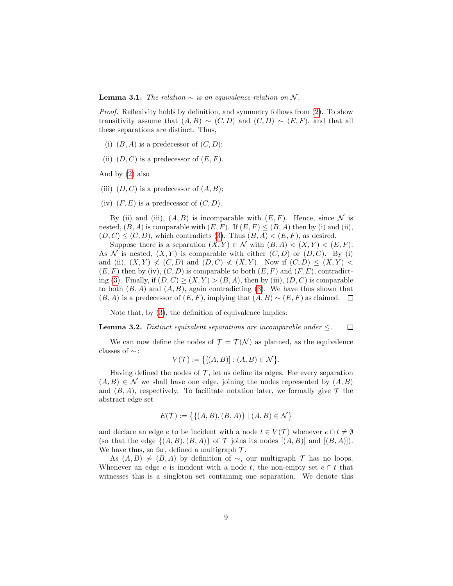**Lemma 3.1.** The relation  $\sim$  is an equivalence relation on N.

Proof. Reflexivity holds by definition, and symmetry follows from [\(2\)](#page-4-0). To show transitivity assume that  $(A, B) \sim (C, D)$  and  $(C, D) \sim (E, F)$ , and that all these separations are distinct. Thus,

- (i)  $(B, A)$  is a predecessor of  $(C, D)$ ;
- (ii)  $(D, C)$  is a predecessor of  $(E, F)$ .

And by [\(2\)](#page-4-0) also

- (iii)  $(D, C)$  is a predecessor of  $(A, B)$ ;
- (iv)  $(F, E)$  is a predecessor of  $(C, D)$ .

By (ii) and (iii),  $(A, B)$  is incomparable with  $(E, F)$ . Hence, since N is nested,  $(B, A)$  is comparable with  $(E, F)$ . If  $(E, F) \leq (B, A)$  then by (i) and (ii),  $(D, C) \leq (C, D)$ , which contradicts [\(3\)](#page-4-3). Thus  $(B, A) < (E, F)$ , as desired.

Suppose there is a separation  $(X, Y) \in \mathcal{N}$  with  $(B, A) < (X, Y) < (E, F)$ . As N is nested,  $(X, Y)$  is comparable with either  $(C, D)$  or  $(D, C)$ . By (i) and (ii),  $(X, Y) \nless (C, D)$  and  $(D, C) \nless (X, Y)$ . Now if  $(C, D) \nle (X, Y)$  $(E, F)$  then by (iv),  $(C, D)$  is comparable to both  $(E, F)$  and  $(F, E)$ , contradict-ing [\(3\)](#page-4-3). Finally, if  $(D, C) \ge (X, Y) > (B, A)$ , then by (iii),  $(D, C)$  is comparable to both  $(B, A)$  and  $(A, B)$ , again contradicting [\(3\)](#page-4-3). We have thus shown that  $(B, A)$  is a predecessor of  $(E, F)$ , implying that  $(A, B) \sim (E, F)$  as claimed.  $\square$ 

Note that, by [\(3\)](#page-4-3), the definition of equivalence implies:

<span id="page-8-0"></span>**Lemma 3.2.** Distinct equivalent separations are incomparable under  $\leq$ .  $\Box$ 

We can now define the nodes of  $\mathcal{T} = \mathcal{T}(\mathcal{N})$  as planned, as the equivalence classes of  $\sim$  :

$$
V(\mathcal{T}) := \{ [(A, B)] : (A, B) \in \mathcal{N} \}.
$$

Having defined the nodes of  $\mathcal{T}$ , let us define its edges. For every separation  $(A, B) \in \mathcal{N}$  we shall have one edge, joining the nodes represented by  $(A, B)$ and  $(B, A)$ , respectively. To facilitate notation later, we formally give  $\mathcal T$  the abstract edge set

$$
E(\mathcal{T}) := \{ \{ (A, B), (B, A) \} \mid (A, B) \in \mathcal{N} \}
$$

and declare an edge  $e$  to be incident with a node  $t \in V(\mathcal{T})$  whenever  $e \cap t \neq \emptyset$ (so that the edge  $\{(A, B), (B, A)\}\$  of  $\mathcal T$  joins its nodes  $[(A, B)]$  and  $[(B, A)]$ ). We have thus, so far, defined a multigraph  $\mathcal{T}$ .

As  $(A, B) \nsim (B, A)$  by definition of ∼, our multigraph  $\mathcal T$  has no loops. Whenever an edge e is incident with a node t, the non-empty set  $e \cap t$  that witnesses this is a singleton set containing one separation. We denote this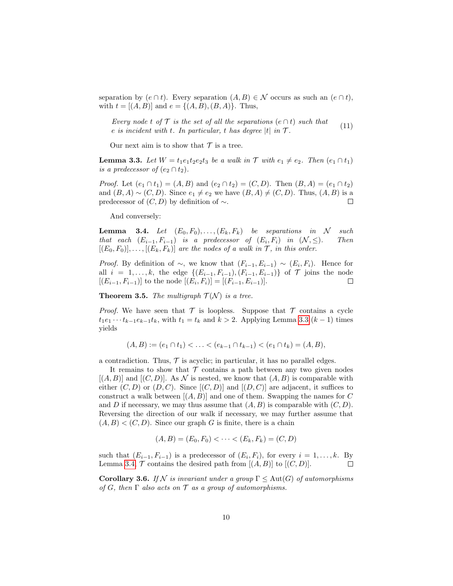separation by  $(e \cap t)$ . Every separation  $(A, B) \in \mathcal{N}$  occurs as such an  $(e \cap t)$ , with  $t = [(A, B)]$  and  $e = {(A, B), (B, A)}$ . Thus,

<span id="page-9-2"></span>Every node t of  $\mathcal T$  is the set of all the separations  $(e \cap t)$  such that e is incident with t. In particular, t has degree  $|t|$  in  $\mathcal{T}$ . (11)

Our next aim is to show that  $\mathcal T$  is a tree.

<span id="page-9-0"></span>**Lemma 3.3.** Let  $W = t_1e_1t_2e_2t_3$  be a walk in  $\mathcal T$  with  $e_1 \neq e_2$ . Then  $(e_1 \cap t_1)$ is a predecessor of  $(e_2 \cap t_2)$ .

*Proof.* Let  $(e_1 \cap t_1) = (A, B)$  and  $(e_2 \cap t_2) = (C, D)$ . Then  $(B, A) = (e_1 \cap t_2)$ and  $(B, A) \sim (C, D)$ . Since  $e_1 \neq e_2$  we have  $(B, A) \neq (C, D)$ . Thus,  $(A, B)$  is a predecessor of  $(C, D)$  by definition of  $\sim$ .  $\Box$ 

And conversely:

<span id="page-9-1"></span>**Lemma 3.4.** Let  $(E_0, F_0), \ldots, (E_k, F_k)$  be separations in N such that each  $(E_{i-1}, F_{i-1})$  is a predecessor of  $(E_i, F_i)$  in  $(\mathcal{N}, \leq)$ . Then  $[(E_0, F_0)], \ldots, [(E_k, F_k)]$  are the nodes of a walk in  $\mathcal{T}$ , in this order.

*Proof.* By definition of  $\sim$ , we know that  $(F_{i-1}, E_{i-1}) \sim (E_i, F_i)$ . Hence for all  $i = 1, ..., k$ , the edge  $\{(E_{i-1}, F_{i-1}), (F_{i-1}, E_{i-1})\}$  of  $\mathcal T$  joins the node  $[(E_{i-1}, F_{i-1})]$  to the node  $[(E_i, F_i)] = [(F_{i-1}, E_{i-1})]$ .  $\Box$ 

<span id="page-9-3"></span>**Theorem 3.5.** The multigraph  $\mathcal{T}(\mathcal{N})$  is a tree.

*Proof.* We have seen that  $\mathcal T$  is loopless. Suppose that  $\mathcal T$  contains a cycle  $t_1e_1 \cdots t_{k-1}e_{k-1}t_k$ , with  $t_1 = t_k$  and  $k > 2$ . Applying Lemma [3.3](#page-9-0)  $(k-1)$  times yields

$$
(A, B) := (e_1 \cap t_1) < \ldots < (e_{k-1} \cap t_{k-1}) < (e_1 \cap t_k) = (A, B),
$$

a contradiction. Thus,  $\mathcal T$  is acyclic; in particular, it has no parallel edges.

It remains to show that  $\mathcal T$  contains a path between any two given nodes  $[(A, B)]$  and  $[(C, D)]$ . As N is nested, we know that  $(A, B)$  is comparable with either  $(C, D)$  or  $(D, C)$ . Since  $[(C, D)]$  and  $[(D, C)]$  are adjacent, it suffices to construct a walk between  $[(A, B)]$  and one of them. Swapping the names for C and D if necessary, we may thus assume that  $(A, B)$  is comparable with  $(C, D)$ . Reversing the direction of our walk if necessary, we may further assume that  $(A, B) < (C, D)$ . Since our graph G is finite, there is a chain

$$
(A, B) = (E_0, F_0) < \cdots < (E_k, F_k) = (C, D)
$$

such that  $(E_{i-1}, F_{i-1})$  is a predecessor of  $(E_i, F_i)$ , for every  $i = 1, ..., k$ . By Lemma [3.4,](#page-9-1)  $\mathcal T$  contains the desired path from  $[(A, B)]$  to  $[(C, D)]$ .  $\Box$ 

<span id="page-9-4"></span>**Corollary 3.6.** If N is invariant under a group  $\Gamma \leq \text{Aut}(G)$  of automorphisms of G, then  $\Gamma$  also acts on  $\mathcal T$  as a group of automorphisms.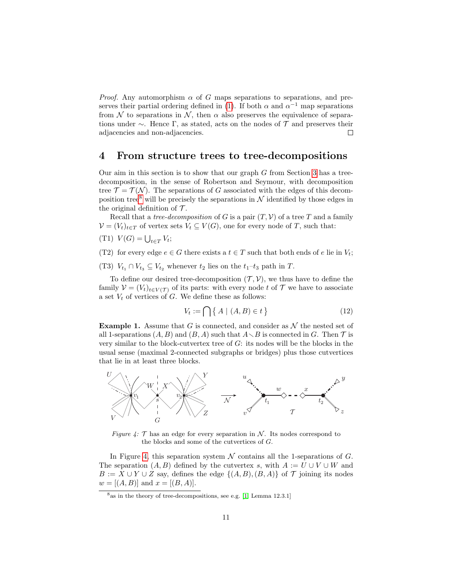*Proof.* Any automorphism  $\alpha$  of G maps separations to separations, and pre-serves their partial ordering defined in [\(1\)](#page-4-2). If both  $\alpha$  and  $\alpha^{-1}$  map separations from N to separations in N, then  $\alpha$  also preserves the equivalence of separations under  $\sim$ . Hence Γ, as stated, acts on the nodes of T and preserves their adjacencies and non-adjacencies.  $\Box$ 

#### <span id="page-10-0"></span>4 From structure trees to tree-decompositions

Our aim in this section is to show that our graph  $G$  from Section [3](#page-7-0) has a treedecomposition, in the sense of Robertson and Seymour, with decomposition tree  $\mathcal{T} = \mathcal{T}(\mathcal{N})$ . The separations of G associated with the edges of this decom-position tree<sup>[8](#page-10-1)</sup> will be precisely the separations in  $N$  identified by those edges in the original definition of  $\mathcal{T}$ .

Recall that a *tree-decomposition* of G is a pair  $(T, V)$  of a tree T and a family  $V = (V_t)_{t \in T}$  of vertex sets  $V_t \subseteq V(G)$ , one for every node of T, such that:

(T1)  $V(G) = \bigcup_{t \in T} V_t;$ 

(T2) for every edge  $e \in G$  there exists a  $t \in T$  such that both ends of e lie in  $V_t$ ;

(T3)  $V_{t_1} \cap V_{t_3} \subseteq V_{t_2}$  whenever  $t_2$  lies on the  $t_1-t_3$  path in T.

To define our desired tree-decomposition  $(\mathcal{T}, \mathcal{V})$ , we thus have to define the family  $V = (V_t)_{t \in V(\mathcal{T})}$  of its parts: with every node t of  $\mathcal{T}$  we have to associate a set  $V_t$  of vertices of  $G$ . We define these as follows:

<span id="page-10-3"></span>
$$
V_t := \bigcap \left\{ A \mid (A, B) \in t \right\} \tag{12}
$$

<span id="page-10-4"></span>**Example 1.** Assume that G is connected, and consider as  $\mathcal N$  the nested set of all 1-separations  $(A, B)$  and  $(B, A)$  such that  $A \setminus B$  is connected in G. Then  $\mathcal T$  is very similar to the block-cutvertex tree of  $G$ : its nodes will be the blocks in the usual sense (maximal 2-connected subgraphs or bridges) plus those cutvertices that lie in at least three blocks.

<span id="page-10-2"></span>

Figure 4:  $\mathcal T$  has an edge for every separation in  $\mathcal N$ . Its nodes correspond to the blocks and some of the cutvertices of G.

In Figure [4,](#page-10-2) this separation system  $\mathcal N$  contains all the 1-separations of  $G$ . The separation  $(A, B)$  defined by the cutvertex s, with  $A := U \cup V \cup W$  and  $B := X \cup Y \cup Z$  say, defines the edge  $\{(A, B), (B, A)\}\$  of  $\mathcal T$  joining its nodes  $w = [(A, B)]$  and  $x = [(B, A)].$ 

<span id="page-10-1"></span> $8a$ s in the theory of tree-decompositions, see e.g. [\[1,](#page-28-7) Lemma 12.3.1]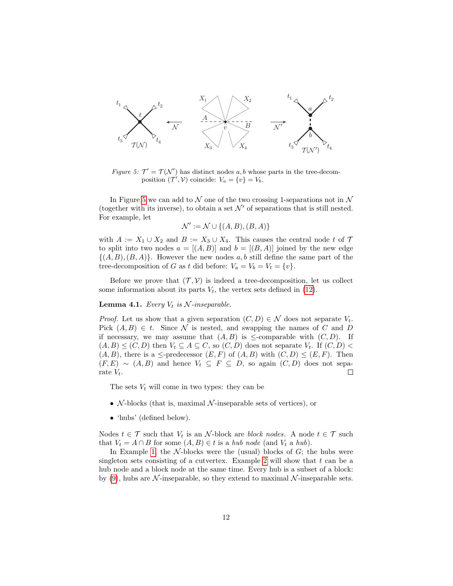<span id="page-11-0"></span>

Figure 5:  $\mathcal{T}' = \mathcal{T}(\mathcal{N}')$  has distinct nodes a, b whose parts in the tree-decomposition  $(\mathcal{T}', \mathcal{V})$  coincide:  $V_a = \{v\} = V_b$ .

In Figure [5](#page-11-0) we can add to  $N$  one of the two crossing 1-separations not in  $N$ (together with its inverse), to obtain a set  $\mathcal{N}'$  of separations that is still nested. For example, let

$$
\mathcal{N}' := \mathcal{N} \cup \{(A, B), (B, A)\}
$$

with  $A := X_1 \cup X_2$  and  $B := X_3 \cup X_4$ . This causes the central node t of  $\mathcal T$ to split into two nodes  $a = [(A, B)]$  and  $b = [(B, A)]$  joined by the new edge  $\{(A, B), (B, A)\}\$ . However the new nodes a, b still define the same part of the tree-decomposition of G as t did before:  $V_a = V_b = V_t = \{v\}.$ 

Before we prove that  $(\mathcal{T}, \mathcal{V})$  is indeed a tree-decomposition, let us collect some information about its parts  $V_t$ , the vertex sets defined in [\(12\)](#page-10-3).

#### <span id="page-11-1"></span>**Lemma 4.1.** Every  $V_t$  is  $N$ -inseparable.

*Proof.* Let us show that a given separation  $(C, D) \in \mathcal{N}$  does not separate  $V_t$ . Pick  $(A, B) \in t$ . Since N is nested, and swapping the names of C and D if necessary, we may assume that  $(A, B)$  is  $\leq$ -comparable with  $(C, D)$ . If  $(A, B) \leq (C, D)$  then  $V_t \subseteq A \subseteq C$ , so  $(C, D)$  does not separate  $V_t$ . If  $(C, D)$  $(A, B)$ , there is a  $\leq$ -predecessor  $(E, F)$  of  $(A, B)$  with  $(C, D) \leq (E, F)$ . Then  $(F, E) \sim (A, B)$  and hence  $V_t \subseteq F \subseteq D$ , so again  $(C, D)$  does not separate  $V_t$ .  $\Box$ 

The sets  $V_t$  will come in two types: they can be

- $\mathcal N$ -blocks (that is, maximal  $\mathcal N$ -inseparable sets of vertices), or
- 'hubs' (defined below).

Nodes  $t \in \mathcal{T}$  such that  $V_t$  is an N-block are block nodes. A node  $t \in \mathcal{T}$  such that  $V_t = A \cap B$  for some  $(A, B) \in t$  is a hub node (and  $V_t$  a hub).

In Example [1,](#page-10-4) the  $N$ -blocks were the (usual) blocks of  $G$ ; the hubs were singleton sets consisting of a cutvertex. Example [2](#page-14-0) will show that  $t$  can be a hub node and a block node at the same time. Every hub is a subset of a block: by [\(9\)](#page-5-3), hubs are N-inseparable, so they extend to maximal N-inseparable sets.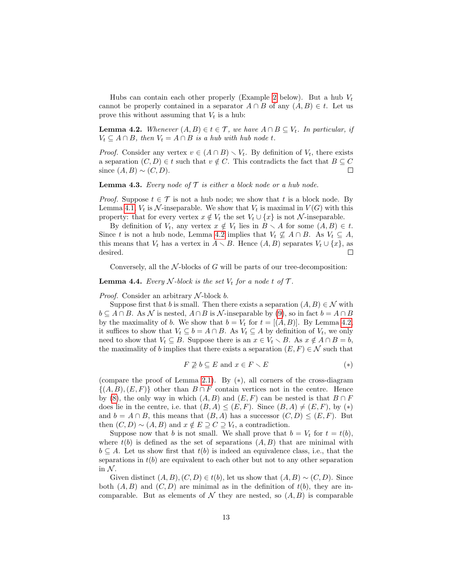Hubs can contain each other properly (Example [2](#page-14-0) below). But a hub  $V_t$ cannot be properly contained in a separator  $A \cap B$  of any  $(A, B) \in t$ . Let us prove this without assuming that  $V_t$  is a hub:

<span id="page-12-0"></span>**Lemma 4.2.** Whenever  $(A, B) \in t \in \mathcal{T}$ , we have  $A \cap B \subseteq V_t$ . In particular, if  $V_t \subseteq A \cap B$ , then  $V_t = A \cap B$  is a hub with hub node t.

*Proof.* Consider any vertex  $v \in (A \cap B) \setminus V_t$ . By definition of  $V_t$ , there exists a separation  $(C, D) \in t$  such that  $v \notin C$ . This contradicts the fact that  $B \subseteq C$ since  $(A, B) \sim (C, D)$ .  $\Box$ 

**Lemma 4.3.** Every node of  $\mathcal T$  is either a block node or a hub node.

*Proof.* Suppose  $t \in \mathcal{T}$  is not a hub node; we show that t is a block node. By Lemma [4.1,](#page-11-1)  $V_t$  is  $\mathcal N$ -inseparable. We show that  $V_t$  is maximal in  $V(G)$  with this property: that for every vertex  $x \notin V_t$  the set  $V_t \cup \{x\}$  is not N-inseparable.

By definition of  $V_t$ , any vertex  $x \notin V_t$  lies in  $B \setminus A$  for some  $(A, B) \in t$ . Since t is not a hub node, Lemma [4.2](#page-12-0) implies that  $V_t \nsubseteq A \cap B$ . As  $V_t \subseteq A$ , this means that  $V_t$  has a vertex in  $A \setminus B$ . Hence  $(A, B)$  separates  $V_t \cup \{x\}$ , as desired.  $\Box$ 

Conversely, all the  $\mathcal N$ -blocks of G will be parts of our tree-decomposition:

<span id="page-12-1"></span>**Lemma 4.4.** Every N-block is the set  $V_t$  for a node t of  $\mathcal{T}$ .

*Proof.* Consider an arbitrary  $N$ -block b.

Suppose first that b is small. Then there exists a separation  $(A, B) \in \mathcal{N}$  with  $b \subseteq A \cap B$ . As N is nested,  $A \cap B$  is N-inseparable by [\(9\)](#page-5-3), so in fact  $b = A \cap B$ by the maximality of b. We show that  $b = V_t$  for  $t = [(A, B)]$ . By Lemma [4.2,](#page-12-0) it suffices to show that  $V_t \subseteq b = A \cap B$ . As  $V_t \subseteq A$  by definition of  $V_t$ , we only need to show that  $V_t \subseteq B$ . Suppose there is an  $x \in V_t \setminus B$ . As  $x \notin A \cap B = b$ , the maximality of b implies that there exists a separation  $(E, F) \in \mathcal{N}$  such that

$$
F \not\supseteq b \subseteq E \text{ and } x \in F \smallsetminus E \tag{*}
$$

(compare the proof of Lemma [2.1\)](#page-3-1). By  $(*)$ , all corners of the cross-diagram  $\{(A, B), (E, F)\}\$  other than  $B \cap F$  contain vertices not in the centre. Hence by [\(8\)](#page-5-4), the only way in which  $(A, B)$  and  $(E, F)$  can be nested is that  $B \cap F$ does lie in the centre, i.e. that  $(B, A) \leq (E, F)$ . Since  $(B, A) \neq (E, F)$ , by  $(*)$ and  $b = A \cap B$ , this means that  $(B, A)$  has a successor  $(C, D) \leq (E, F)$ . But then  $(C, D) \sim (A, B)$  and  $x \notin E \supseteq C \supseteq V_t$ , a contradiction.

Suppose now that b is not small. We shall prove that  $b = V_t$  for  $t = t(b)$ , where  $t(b)$  is defined as the set of separations  $(A, B)$  that are minimal with  $b \subseteq A$ . Let us show first that  $t(b)$  is indeed an equivalence class, i.e., that the separations in  $t(b)$  are equivalent to each other but not to any other separation in  $N$ .

Given distinct  $(A, B), (C, D) \in t(b)$ , let us show that  $(A, B) \sim (C, D)$ . Since both  $(A, B)$  and  $(C, D)$  are minimal as in the definition of  $t(b)$ , they are incomparable. But as elements of  $\mathcal N$  they are nested, so  $(A, B)$  is comparable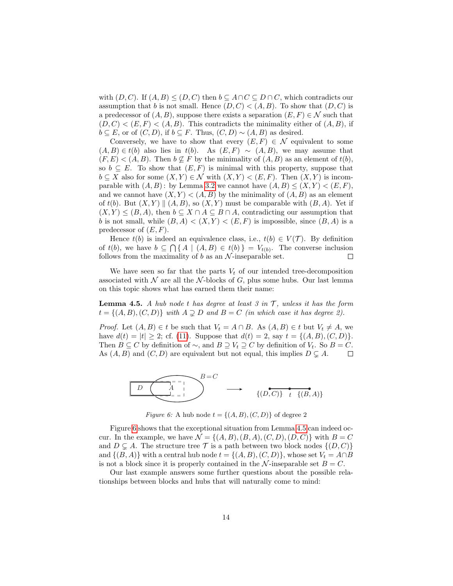with  $(D, C)$ . If  $(A, B) \leq (D, C)$  then  $b \subseteq A \cap C \subseteq D \cap C$ , which contradicts our assumption that b is not small. Hence  $(D, C) < (A, B)$ . To show that  $(D, C)$  is a predecessor of  $(A, B)$ , suppose there exists a separation  $(E, F) \in \mathcal{N}$  such that  $(D, C) < (E, F) < (A, B)$ . This contradicts the minimality either of  $(A, B)$ , if  $b \subseteq E$ , or of  $(C, D)$ , if  $b \subseteq F$ . Thus,  $(C, D) \sim (A, B)$  as desired.

Conversely, we have to show that every  $(E, F) \in \mathcal{N}$  equivalent to some  $(A, B) \in t(b)$  also lies in  $t(b)$ . As  $(E, F) \sim (A, B)$ , we may assume that  $(F, E) < (A, B)$ . Then  $b \nsubseteq F$  by the minimality of  $(A, B)$  as an element of  $t(b)$ , so  $b \subseteq E$ . To show that  $(E, F)$  is minimal with this property, suppose that  $b \subseteq X$  also for some  $(X, Y) \in \mathcal{N}$  with  $(X, Y) < (E, F)$ . Then  $(X, Y)$  is incomparable with  $(A, B)$ : by Lemma [3.2](#page-8-0) we cannot have  $(A, B) \leq (X, Y) < (E, F)$ , and we cannot have  $(X, Y) < (A, B)$  by the minimality of  $(A, B)$  as an element of  $t(b)$ . But  $(X, Y) \parallel (A, B)$ , so  $(X, Y)$  must be comparable with  $(B, A)$ . Yet if  $(X, Y) \leq (B, A)$ , then  $b \subseteq X \cap A \subseteq B \cap A$ , contradicting our assumption that b is not small, while  $(B, A) < (X, Y) < (E, F)$  is impossible, since  $(B, A)$  is a predecessor of  $(E, F)$ .

Hence  $t(b)$  is indeed an equivalence class, i.e.,  $t(b) \in V(\mathcal{T})$ . By definition of  $t(b)$ , we have  $b \subseteq \bigcap \{ A \mid (A, B) \in t(b) \} = V_{t(b)}$ . The converse inclusion follows from the maximality of  $b$  as an  $\mathcal N$ -inseparable set.  $\Box$ 

We have seen so far that the parts  $V_t$  of our intended tree-decomposition associated with  $\mathcal N$  are all the  $\mathcal N$ -blocks of  $G$ , plus some hubs. Our last lemma on this topic shows what has earned them their name:

<span id="page-13-1"></span>**Lemma 4.5.** A hub node t has degree at least 3 in  $\mathcal{T}$ , unless it has the form  $t = \{(A, B), (C, D)\}\$  with  $A \supsetneq D$  and  $B = C$  (in which case it has degree 2).

*Proof.* Let  $(A, B) \in t$  be such that  $V_t = A \cap B$ . As  $(A, B) \in t$  but  $V_t \neq A$ , we have  $d(t) = |t| \geq 2$ ; cf. [\(11\)](#page-9-2). Suppose that  $d(t) = 2$ , say  $t = \{(A, B), (C, D)\}.$ Then  $B \subseteq C$  by definition of  $\sim$ , and  $B \supseteq V_t \supseteq C$  by definition of  $V_t$ . So  $B = C$ . As  $(A, B)$  and  $(C, D)$  are equivalent but not equal, this implies  $D \subsetneq A$ .  $\Box$ 

<span id="page-13-0"></span>

Figure 6: A hub node  $t = \{(A, B), (C, D)\}$  of degree 2

Figure [6](#page-13-0) shows that the exceptional situation from Lemma [4.5](#page-13-1) can indeed occur. In the example, we have  $\mathcal{N} = \{(A, B), (B, A), (C, D), (D, C)\}\$  with  $B = C$ and  $D \subsetneq A$ . The structure tree  $\mathcal T$  is a path between two block nodes  $\{(D, C)\}\$ and  $\{(B, A)\}\$  with a central hub node  $t = \{(A, B), (C, D)\}\$ , whose set  $V_t = A \cap B$ is not a block since it is properly contained in the  $\mathcal{N}$ -inseparable set  $B = C$ .

Our last example answers some further questions about the possible relationships between blocks and hubs that will naturally come to mind: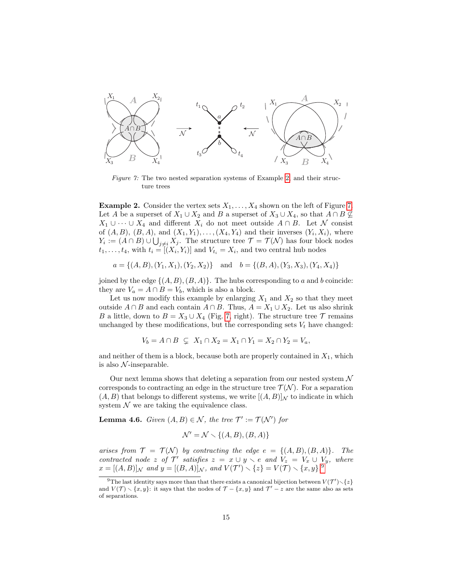<span id="page-14-1"></span>

Figure 7: The two nested separation systems of Example [2,](#page-14-0) and their structure trees

<span id="page-14-0"></span>**Example 2.** Consider the vertex sets  $X_1, \ldots, X_4$  shown on the left of Figure [7.](#page-14-1) Let A be a superset of  $X_1 \cup X_2$  and B a superset of  $X_3 \cup X_4$ , so that  $A \cap B \nsubseteq$  $X_1 \cup \cdots \cup X_4$  and different  $X_i$  do not meet outside  $A \cap B$ . Let N consist of  $(A, B)$ ,  $(B, A)$ , and  $(X_1, Y_1), \ldots, (X_4, Y_4)$  and their inverses  $(Y_i, X_i)$ , where  $Y_i := (A \cap B) \cup \bigcup_{j \neq i} X_j$ . The structure tree  $\mathcal{T} = \mathcal{T}(\mathcal{N})$  has four block nodes  $t_1, \ldots, t_4$ , with  $t_i = [(X_i, Y_i)]$  and  $V_{t_i} = X_i$ , and two central hub nodes

$$
a = \{(A, B), (Y_1, X_1), (Y_2, X_2)\} \text{ and } b = \{(B, A), (Y_3, X_3), (Y_4, X_4)\}
$$

joined by the edge  $\{(A, B), (B, A)\}.$  The hubs corresponding to a and b coincide: they are  $V_a = A \cap B = V_b$ , which is also a block.

Let us now modify this example by enlarging  $X_1$  and  $X_2$  so that they meet outside  $A \cap B$  and each contain  $A \cap B$ . Thus,  $A = X_1 \cup X_2$ . Let us also shrink B a little, down to  $B = X_3 \cup X_4$  (Fig. [7,](#page-14-1) right). The structure tree  $\mathcal T$  remains unchanged by these modifications, but the corresponding sets  $V_t$  have changed:

$$
V_b = A \cap B \subseteq X_1 \cap X_2 = X_1 \cap Y_1 = X_2 \cap Y_2 = V_a,
$$

and neither of them is a block, because both are properly contained in  $X_1$ , which is also  $\mathcal N$ -inseparable.

Our next lemma shows that deleting a separation from our nested system  $\mathcal N$ corresponds to contracting an edge in the structure tree  $\mathcal{T}(\mathcal{N})$ . For a separation  $(A, B)$  that belongs to different systems, we write  $[(A, B)]_N$  to indicate in which system  $N$  we are taking the equivalence class.

<span id="page-14-3"></span>**Lemma 4.6.** Given  $(A, B) \in \mathcal{N}$ , the tree  $\mathcal{T}' := \mathcal{T}(\mathcal{N}')$  for

$$
\mathcal{N}' = \mathcal{N} \smallsetminus \{(A, B), (B, A)\}
$$

arises from  $\mathcal{T} = \mathcal{T}(\mathcal{N})$  by contracting the edge  $e = \{(A, B), (B, A)\}.$  The contracted node z of  $\mathcal{T}'$  satisfies  $z = x \cup y \setminus e$  and  $V_z = V_x \cup V_y$ , where  $x = [(A, B)]_{\mathcal{N}}$  and  $y = [(B, A)]_{\mathcal{N}}$ , and  $V(\mathcal{T}') \setminus \{z\} = V(\mathcal{T}) \setminus \{x, y\}$ .

<span id="page-14-2"></span><sup>&</sup>lt;sup>9</sup>The last identity says more than that there exists a canonical bijection between  $V(\mathcal{T}')\setminus\{z\}$ and  $V(\mathcal{T}) \setminus \{x, y\}$ : it says that the nodes of  $\mathcal{T} - \{x, y\}$  and  $\mathcal{T}' - z$  are the same also as sets of separations.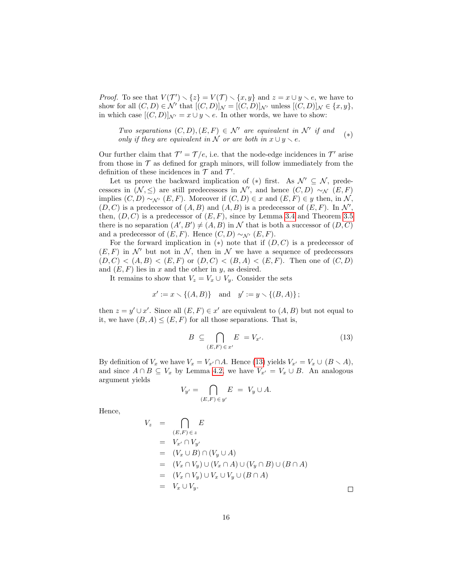*Proof.* To see that  $V(\mathcal{T}') \setminus \{z\} = V(\mathcal{T}) \setminus \{x, y\}$  and  $z = x \cup y \setminus e$ , we have to show for all  $(C, D) \in \mathcal{N}'$  that  $[(C, D)]_{\mathcal{N}} = [(C, D)]_{\mathcal{N}'}$  unless  $[(C, D)]_{\mathcal{N}} \in \{x, y\},\$ in which case  $[(C, D)]_{\mathcal{N}'} = x \cup y \setminus e$ . In other words, we have to show:

Two separations  $(C, D), (E, F) \in \mathcal{N}'$  are equivalent in  $\mathcal{N}'$  if and only if they are equivalent in N or are both in  $x \cup y \setminus e$ . (∗)

Our further claim that  $\mathcal{T}' = \mathcal{T}/e$ , i.e. that the node-edge incidences in  $\mathcal{T}'$  arise from those in  $\mathcal T$  as defined for graph minors, will follow immediately from the definition of these incidences in  $\mathcal T$  and  $\mathcal T'$ .

Let us prove the backward implication of (\*) first. As  $\mathcal{N}' \subseteq \mathcal{N}$ , predecessors in  $(N, \leq)$  are still predecessors in  $\mathcal{N}'$ , and hence  $(C, D) \sim_{\mathcal{N}} (E, F)$ implies  $(C, D) \sim_{\mathcal{N}'} (E, F)$ . Moreover if  $(C, D) \in x$  and  $(E, F) \in y$  then, in N,  $(D, C)$  is a predecessor of  $(A, B)$  and  $(A, B)$  is a predecessor of  $(E, F)$ . In  $\mathcal{N}'$ , then,  $(D, C)$  is a predecessor of  $(E, F)$ , since by Lemma [3.4](#page-9-1) and Theorem [3.5](#page-9-3) there is no separation  $(A', B') \neq (A, B)$  in N that is both a successor of  $(D, C)$ and a predecessor of  $(E, F)$ . Hence  $(C, D) \sim_{\mathcal{N}'} (E, F)$ .

For the forward implication in  $(*)$  note that if  $(D, C)$  is a predecessor of  $(E, F)$  in N' but not in N, then in N we have a sequence of predecessors  $(D, C) < (A, B) < (E, F)$  or  $(D, C) < (B, A) < (E, F)$ . Then one of  $(C, D)$ and  $(E, F)$  lies in x and the other in y, as desired.

It remains to show that  $V_z = V_x \cup V_y$ . Consider the sets

$$
x' := x \setminus \{(A, B)\}
$$
 and  $y' := y \setminus \{(B, A)\};$ 

then  $z = y' \cup x'$ . Since all  $(E, F) \in x'$  are equivalent to  $(A, B)$  but not equal to it, we have  $(B, A) \leq (E, F)$  for all those separations. That is,

<span id="page-15-0"></span>
$$
B \subseteq \bigcap_{(E,F)\in x'} E = V_{x'}.
$$
\n(13)

 $\Box$ 

By definition of  $V_x$  we have  $V_x = V_{x'} \cap A$ . Hence [\(13\)](#page-15-0) yields  $V_{x'} = V_x \cup (B \setminus A)$ , and since  $A \cap B \subseteq V_x$  by Lemma [4.2,](#page-12-0) we have  $V_{x'} = V_x \cup B$ . An analogous argument yields

$$
V_{y'} = \bigcap_{(E,F) \in y'} E = V_y \cup A.
$$

Hence,

 $\overline{V}$ 

$$
V_z = \bigcap_{(E,F) \in z} E
$$
  
=  $V_{x'} \cap V_{y'}$   
=  $(V_x \cup B) \cap (V_y \cup A)$   
=  $(V_x \cap V_y) \cup (V_x \cap A) \cup (V_y \cap B) \cup (B \cap A)$   
=  $(V_x \cap V_y) \cup V_x \cup V_y \cup (B \cap A)$   
=  $V_x \cup V_y$ .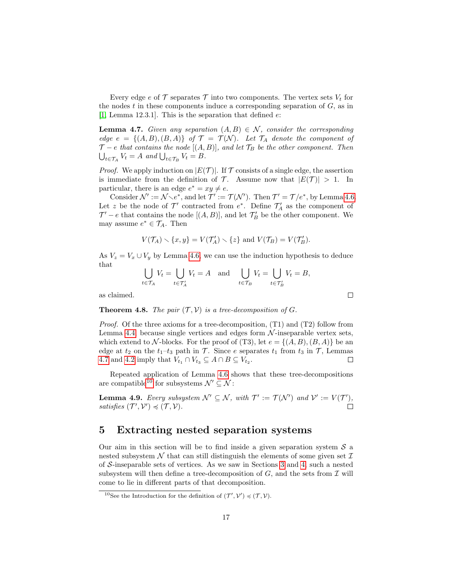Every edge e of  $\mathcal T$  separates  $\mathcal T$  into two components. The vertex sets  $V_t$  for the nodes  $t$  in these components induce a corresponding separation of  $G$ , as in [\[1,](#page-28-7) Lemma 12.3.1]. This is the separation that defined  $e$ :

<span id="page-16-1"></span>**Lemma 4.7.** Given any separation  $(A, B) \in \mathcal{N}$ , consider the corresponding edge  $e = \{(A, B), (B, A)\}\$  of  $\mathcal{T} = \mathcal{T}(\mathcal{N})$ . Let  $\mathcal{T}_A$  denote the component of  $\mathcal{T}-e$  that contains the node [(A, B)], and let  $\mathcal{T}_B$  be the other component. Then  $\bigcup_{t \in \mathcal{T}_A} V_t = A$  and  $\bigcup_{t \in \mathcal{T}_B} V_t = B$ .

*Proof.* We apply induction on  $|E(\mathcal{T})|$ . If  $\mathcal T$  consists of a single edge, the assertion is immediate from the definition of  $\mathcal T$ . Assume now that  $|E(\mathcal T)| > 1$ . In particular, there is an edge  $e^* = xy \neq e$ .

Consider  $\mathcal{N}' := \mathcal{N} \setminus e^*$ , and let  $\mathcal{T}' := \mathcal{T}(\mathcal{N}')$ . Then  $\mathcal{T}' = \mathcal{T}/e^*$ , by Lemma [4.6.](#page-14-3) Let z be the node of  $\mathcal{T}'$  contracted from  $e^*$ . Define  $\mathcal{T}'_A$  as the component of  $\mathcal{T}'-e$  that contains the node  $[(A, B)],$  and let  $\mathcal{T}'_B$  be the other component. We may assume  $e^* \in \mathcal{T}_A$ . Then

$$
V(\mathcal{T}_A) \setminus \{x, y\} = V(\mathcal{T}'_A) \setminus \{z\} \text{ and } V(\mathcal{T}_B) = V(\mathcal{T}'_B).
$$

As  $V_z = V_x \cup V_y$  by Lemma [4.6,](#page-14-3) we can use the induction hypothesis to deduce that

$$
\bigcup_{t \in \mathcal{T}_A} V_t = \bigcup_{t \in \mathcal{T}'_A} V_t = A \quad \text{and} \quad \bigcup_{t \in \mathcal{T}_B} V_t = \bigcup_{t \in \mathcal{T}'_B} V_t = B,
$$

as claimed.

**Theorem 4.8.** The pair  $(\mathcal{T}, \mathcal{V})$  is a tree-decomposition of G.

Proof. Of the three axioms for a tree-decomposition, (T1) and (T2) follow from Lemma [4.4,](#page-12-1) because single vertices and edges form  $\mathcal N$ -inseparable vertex sets, which extend to N-blocks. For the proof of (T3), let  $e = \{(A, B), (B, A)\}\$ be an edge at  $t_2$  on the  $t_1-t_3$  path in  $\mathcal T$ . Since e separates  $t_1$  from  $t_3$  in  $\mathcal T$ , Lemmas [4.7](#page-16-1) and [4.2](#page-12-0) imply that  $V_{t_1} \cap V_{t_3} \subseteq A \cap B \subseteq V_{t_2}$ .  $\Box$ 

Repeated application of Lemma [4.6](#page-14-3) shows that these tree-decompositions are compatible<sup>[10](#page-16-2)</sup> for subsystems  $\mathcal{N}' \subseteq \mathcal{N}$ :

<span id="page-16-3"></span>**Lemma 4.9.** Every subsystem  $\mathcal{N}' \subseteq \mathcal{N}$ , with  $\mathcal{T}' := \mathcal{T}(\mathcal{N}')$  and  $\mathcal{V}' := V(\mathcal{T}')$ , satisfies  $(\mathcal{T}', \mathcal{V}') \preccurlyeq (\mathcal{T}, \mathcal{V})$ .  $\Box$ 

### <span id="page-16-0"></span>5 Extracting nested separation systems

Our aim in this section will be to find inside a given separation system  $S$  a nested subsystem  $\mathcal N$  that can still distinguish the elements of some given set  $\mathcal I$ of S-inseparable sets of vertices. As we saw in Sections [3](#page-7-0) and [4,](#page-10-0) such a nested subsystem will then define a tree-decomposition of  $G$ , and the sets from  $\mathcal I$  will come to lie in different parts of that decomposition.

 $\Box$ 

<span id="page-16-2"></span><sup>&</sup>lt;sup>10</sup>See the Introduction for the definition of  $(\mathcal{T}', \mathcal{V}') \preccurlyeq (\mathcal{T}, \mathcal{V})$ .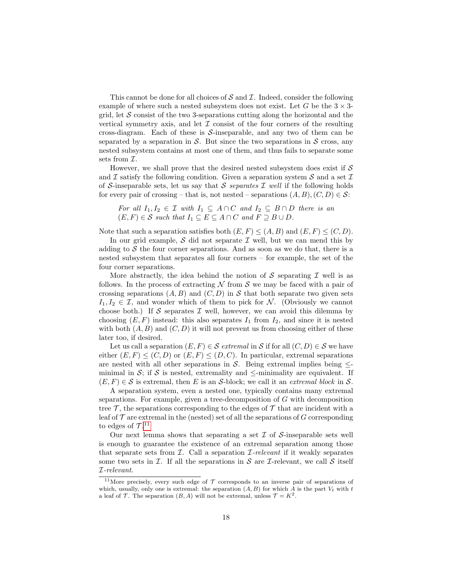This cannot be done for all choices of  $\mathcal S$  and  $\mathcal I$ . Indeed, consider the following example of where such a nested subsystem does not exist. Let G be the  $3 \times 3$ grid, let  $\mathcal S$  consist of the two 3-separations cutting along the horizontal and the vertical symmetry axis, and let  $\mathcal I$  consist of the four corners of the resulting cross-diagram. Each of these is  $S$ -inseparable, and any two of them can be separated by a separation in  $S$ . But since the two separations in  $S$  cross, any nested subsystem contains at most one of them, and thus fails to separate some sets from  $\mathcal{I}.$ 

However, we shall prove that the desired nested subsystem does exist if  $\mathcal S$ and I satisfy the following condition. Given a separation system S and a set I of S-inseparable sets, let us say that S separates I well if the following holds for every pair of crossing – that is, not nested – separations  $(A, B), (C, D) \in \mathcal{S}$ :

For all  $I_1, I_2 \in \mathcal{I}$  with  $I_1 \subseteq A \cap C$  and  $I_2 \subseteq B \cap D$  there is an  $(E, F) \in \mathcal{S}$  such that  $I_1 \subseteq E \subseteq A \cap C$  and  $F \supseteq B \cup D$ .

Note that such a separation satisfies both  $(E, F) \leq (A, B)$  and  $(E, F) \leq (C, D)$ .

In our grid example,  $S$  did not separate  $I$  well, but we can mend this by adding to  $S$  the four corner separations. And as soon as we do that, there is a nested subsystem that separates all four corners – for example, the set of the four corner separations.

More abstractly, the idea behind the notion of  $S$  separating  $I$  well is as follows. In the process of extracting  $N$  from  $S$  we may be faced with a pair of crossing separations  $(A, B)$  and  $(C, D)$  in S that both separate two given sets  $I_1, I_2 \in \mathcal{I}$ , and wonder which of them to pick for N. (Obviously we cannot choose both.) If S separates  $\mathcal I$  well, however, we can avoid this dilemma by choosing  $(E, F)$  instead: this also separates  $I_1$  from  $I_2$ , and since it is nested with both  $(A, B)$  and  $(C, D)$  it will not prevent us from choosing either of these later too, if desired.

Let us call a separation  $(E, F) \in \mathcal{S}$  extremal in  $\mathcal{S}$  if for all  $(C, D) \in \mathcal{S}$  we have either  $(E, F) \leq (C, D)$  or  $(E, F) \leq (D, C)$ . In particular, extremal separations are nested with all other separations in S. Being extremal implies being  $\leq$ minimal in S; if S is nested, extremality and  $\leq$ -minimality are equivalent. If  $(E, F) \in \mathcal{S}$  is extremal, then E is an S-block; we call it an *extremal block* in S.

A separation system, even a nested one, typically contains many extremal separations. For example, given a tree-decomposition of G with decomposition tree  $\mathcal{T}$ , the separations corresponding to the edges of  $\mathcal{T}$  that are incident with a leaf of  $T$  are extremal in the (nested) set of all the separations of  $G$  corresponding to edges of  $\mathcal{T}.^{11}$  $\mathcal{T}.^{11}$  $\mathcal{T}.^{11}$ 

Our next lemma shows that separating a set  $\mathcal I$  of  $\mathcal S$ -inseparable sets well is enough to guarantee the existence of an extremal separation among those that separate sets from  $I$ . Call a separation  $I$ -relevant if it weakly separates some two sets in  $\mathcal I$ . If all the separations in  $\mathcal S$  are  $\mathcal I$ -relevant, we call  $\mathcal S$  itself I-relevant.

<span id="page-17-0"></span><sup>&</sup>lt;sup>11</sup>More precisely, every such edge of  $\mathcal T$  corresponds to an inverse pair of separations of which, usually, only one is extremal: the separation  $(A, B)$  for which A is the part  $V_t$  with t a leaf of T. The separation  $(B, A)$  will not be extremal, unless  $\mathcal{T} = K^2$ .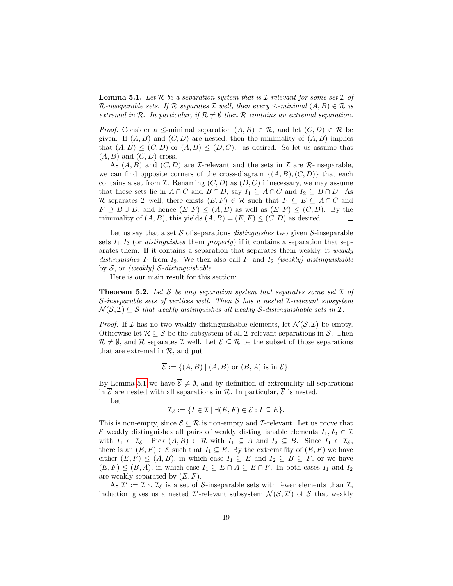<span id="page-18-0"></span>**Lemma 5.1.** Let  $\mathcal{R}$  be a separation system that is  $\mathcal{I}$ -relevant for some set  $\mathcal{I}$  of R-inseparable sets. If R separates I well, then every  $\le$ -minimal  $(A, B) \in \mathcal{R}$  is extremal in R. In particular, if  $\mathcal{R} \neq \emptyset$  then R contains an extremal separation.

*Proof.* Consider a  $\leq$ -minimal separation  $(A, B) \in \mathcal{R}$ , and let  $(C, D) \in \mathcal{R}$  be given. If  $(A, B)$  and  $(C, D)$  are nested, then the minimality of  $(A, B)$  implies that  $(A, B) \leq (C, D)$  or  $(A, B) \leq (D, C)$ , as desired. So let us assume that  $(A, B)$  and  $(C, D)$  cross.

As  $(A, B)$  and  $(C, D)$  are *I*-relevant and the sets in *I* are *R*-inseparable, we can find opposite corners of the cross-diagram  $\{(A, B), (C, D)\}\)$  that each contains a set from  $\mathcal I$ . Renaming  $(C, D)$  as  $(D, C)$  if necessary, we may assume that these sets lie in  $A \cap C$  and  $B \cap D$ , say  $I_1 \subseteq A \cap C$  and  $I_2 \subseteq B \cap D$ . As R separates I well, there exists  $(E, F) \in \mathcal{R}$  such that  $I_1 \subseteq E \subseteq A \cap C$  and  $F \supseteq B \cup D$ , and hence  $(E, F) \leq (A, B)$  as well as  $(E, F) \leq (C, D)$ . By the minimality of  $(A, B)$ , this yields  $(A, B) = (E, F) \le (C, D)$  as desired.  $\Box$ 

Let us say that a set  $S$  of separations *distinguishes* two given  $S$ -inseparable sets  $I_1, I_2$  (or *distinguishes* them *properly*) if it contains a separation that separates them. If it contains a separation that separates them weakly, it weakly distinguishes  $I_1$  from  $I_2$ . We then also call  $I_1$  and  $I_2$  (weakly) distinguishable by  $S$ , or (weakly)  $S$ -distinguishable.

Here is our main result for this section:

<span id="page-18-1"></span>**Theorem 5.2.** Let S be any separation system that separates some set  $I$  of S-inseparable sets of vertices well. Then S has a nested I-relevant subsystem  $\mathcal{N}(\mathcal{S}, \mathcal{I}) \subseteq \mathcal{S}$  that weakly distinguishes all weakly S-distinguishable sets in  $\mathcal{I}$ .

*Proof.* If  $\mathcal I$  has no two weakly distinguishable elements, let  $\mathcal N(\mathcal S, \mathcal I)$  be empty. Otherwise let  $\mathcal{R} \subseteq \mathcal{S}$  be the subsystem of all *I*-relevant separations in  $\mathcal{S}$ . Then  $\mathcal{R} \neq \emptyset$ , and  $\mathcal{R}$  separates  $\mathcal{I}$  well. Let  $\mathcal{E} \subseteq \mathcal{R}$  be the subset of those separations that are extremal in  $\mathcal{R}$ , and put

$$
\overline{\mathcal{E}} := \{ (A, B) \mid (A, B) \text{ or } (B, A) \text{ is in } \mathcal{E} \}.
$$

By Lemma [5.1](#page-18-0) we have  $\overline{\mathcal{E}} \neq \emptyset$ , and by definition of extremality all separations in  $\overline{\mathcal{E}}$  are nested with all separations in  $\mathcal{R}$ . In particular,  $\overline{\mathcal{E}}$  is nested.

Let

$$
\mathcal{I}_{\mathcal{E}} := \{ I \in \mathcal{I} \mid \exists (E, F) \in \mathcal{E} : I \subseteq E \}.
$$

This is non-empty, since  $\mathcal{E} \subseteq \mathcal{R}$  is non-empty and *I*-relevant. Let us prove that  $\mathcal E$  weakly distinguishes all pairs of weakly distinguishable elements  $I_1, I_2 \in \mathcal I$ with  $I_1 \in \mathcal{I}_{\mathcal{E}}$ . Pick  $(A, B) \in \mathcal{R}$  with  $I_1 \subseteq A$  and  $I_2 \subseteq B$ . Since  $I_1 \in \mathcal{I}_{\mathcal{E}}$ , there is an  $(E, F) \in \mathcal{E}$  such that  $I_1 \subseteq E$ . By the extremality of  $(E, F)$  we have either  $(E, F) \le (A, B)$ , in which case  $I_1 \subseteq E$  and  $I_2 \subseteq B \subseteq F$ , or we have  $(E, F) \leq (B, A)$ , in which case  $I_1 \subseteq E \cap A \subseteq E \cap F$ . In both cases  $I_1$  and  $I_2$ are weakly separated by  $(E, F)$ .

As  $\mathcal{I}' := \mathcal{I} \setminus \mathcal{I}_{\mathcal{E}}$  is a set of S-inseparable sets with fewer elements than  $\mathcal{I},$ induction gives us a nested  $\mathcal{I}'$ -relevant subsystem  $\mathcal{N}(\mathcal{S}, \mathcal{I}')$  of  $\mathcal S$  that weakly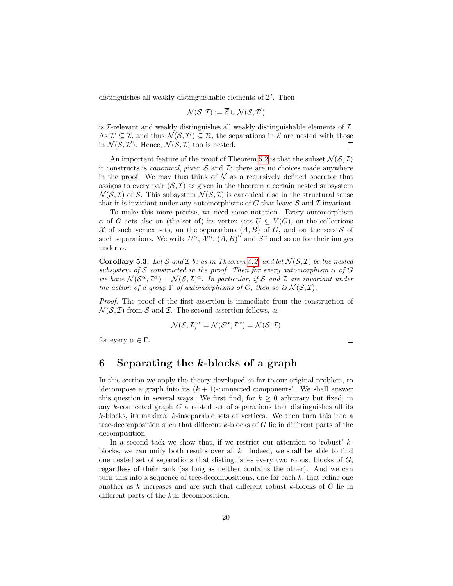distinguishes all weakly distinguishable elements of  $\mathcal{I}'$ . Then

$$
\mathcal{N}(\mathcal{S}, \mathcal{I}) := \overline{\mathcal{E}} \cup \mathcal{N}(\mathcal{S}, \mathcal{I}')
$$

is  $\mathcal I$ -relevant and weakly distinguishes all weakly distinguishable elements of  $\mathcal I$ . As  $\mathcal{I}' \subseteq \mathcal{I}$ , and thus  $\mathcal{N}(\mathcal{S}, \mathcal{I}') \subseteq \mathcal{R}$ , the separations in  $\overline{\mathcal{E}}$  are nested with those in  $\mathcal{N}(\mathcal{S}, \mathcal{I}')$ . Hence,  $\mathcal{N}(\mathcal{S}, \mathcal{I})$  too is nested.  $\Box$ 

An important feature of the proof of Theorem [5.2](#page-18-1) is that the subset  $\mathcal{N}(\mathcal{S}, \mathcal{I})$ it constructs is *canonical*, given  $S$  and  $\mathcal{I}$ : there are no choices made anywhere in the proof. We may thus think of  $\mathcal N$  as a recursively defined operator that assigns to every pair  $(S, \mathcal{I})$  as given in the theorem a certain nested subsystem  $\mathcal{N}(\mathcal{S}, \mathcal{I})$  of S. This subsystem  $\mathcal{N}(\mathcal{S}, \mathcal{I})$  is canonical also in the structural sense that it is invariant under any automorphisms of G that leave  $S$  and  $I$  invariant.

To make this more precise, we need some notation. Every automorphism  $\alpha$  of G acts also on (the set of) its vertex sets  $U \subset V(G)$ , on the collections X of such vertex sets, on the separations  $(A, B)$  of G, and on the sets S of such separations. We write  $U^{\alpha}$ ,  $\overline{\mathcal{X}}^{\alpha}$ ,  $(A, B)^{\alpha}$  and  $\mathcal{S}^{\alpha}$  and so on for their images under  $\alpha$ .

<span id="page-19-1"></span>**Corollary 5.3.** Let S and I be as in Theorem [5.2,](#page-18-1) and let  $\mathcal{N}(\mathcal{S}, \mathcal{I})$  be the nested subsystem of S constructed in the proof. Then for every automorphism  $\alpha$  of G we have  $\mathcal{N}(\mathcal{S}^{\alpha},\mathcal{I}^{\alpha})=\mathcal{N}(\mathcal{S},\mathcal{I})^{\alpha}$ . In particular, if S and I are invariant under the action of a group  $\Gamma$  of automorphisms of G, then so is  $\mathcal{N}(\mathcal{S}, \mathcal{I})$ .

Proof. The proof of the first assertion is immediate from the construction of  $\mathcal{N}(\mathcal{S}, \mathcal{I})$  from S and I. The second assertion follows, as

$$
\mathcal{N}(\mathcal{S}, \mathcal{I})^{\alpha} = \mathcal{N}(\mathcal{S}^{\alpha}, \mathcal{I}^{\alpha}) = \mathcal{N}(\mathcal{S}, \mathcal{I})
$$

for every  $\alpha \in \Gamma$ .

$$
\sqcup
$$

### <span id="page-19-0"></span>6 Separating the  $k$ -blocks of a graph

In this section we apply the theory developed so far to our original problem, to 'decompose a graph into its  $(k + 1)$ -connected components'. We shall answer this question in several ways. We first find, for  $k \geq 0$  arbitrary but fixed, in any  $k$ -connected graph  $G$  a nested set of separations that distinguishes all its  $k$ -blocks, its maximal  $k$ -inseparable sets of vertices. We then turn this into a tree-decomposition such that different  $k$ -blocks of  $G$  lie in different parts of the decomposition.

In a second tack we show that, if we restrict our attention to 'robust'  $k$ blocks, we can unify both results over all  $k$ . Indeed, we shall be able to find one nested set of separations that distinguishes every two robust blocks of G, regardless of their rank (as long as neither contains the other). And we can turn this into a sequence of tree-decompositions, one for each  $k$ , that refine one another as  $k$  increases and are such that different robust  $k$ -blocks of  $G$  lie in different parts of the kth decomposition.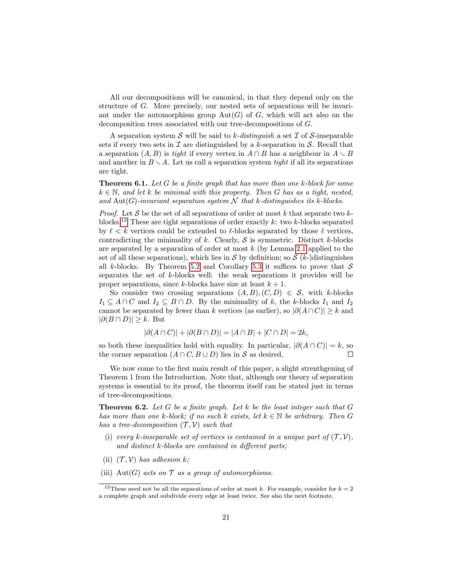All our decompositions will be canonical, in that they depend only on the structure of G. More precisely, our nested sets of separations will be invariant under the automorphism group  $Aut(G)$  of G, which will act also on the decomposition trees associated with our tree-decompositions of G.

A separation system S will be said to k-distinguish a set  $\mathcal I$  of S-inseparable sets if every two sets in  $\mathcal I$  are distinguished by a k-separation in  $\mathcal S$ . Recall that a separation  $(A, B)$  is tight if every vertex in  $A \cap B$  has a neighbour in  $A \setminus B$ and another in  $B \setminus A$ . Let us call a separation system tight if all its separations are tight.

<span id="page-20-2"></span>**Theorem 6.1.** Let  $G$  be a finite graph that has more than one  $k$ -block for some  $k \in \mathbb{N}$ , and let k be minimal with this property. Then G has as a tight, nested, and Aut(G)-invariant separation system  $\mathcal N$  that k-distinguishes its k-blocks.

*Proof.* Let S be the set of all separations of order at most k that separate two k-blocks.<sup>[12](#page-20-0)</sup> These are tight separations of order exactly k: two k-blocks separated by  $\ell < k$  vertices could be extended to  $\ell$ -blocks separated by those  $\ell$  vertices, contradicting the minimality of k. Clearly,  $S$  is symmetric. Distinct k-blocks are separated by a separation of order at most  $k$  (by Lemma [2.1](#page-3-1) applied to the set of all these separations), which lies in S by definition; so  $S(k-)$  distinguishes all k-blocks. By Theorem [5.2](#page-18-1) and Corollary [5.3](#page-19-1) it suffices to prove that  $S$ separates the set of k-blocks well: the weak separations it provides will be proper separations, since k-blocks have size at least  $k + 1$ .

So consider two crossing separations  $(A, B), (C, D) \in S$ , with k-blocks  $I_1 \subseteq A \cap C$  and  $I_2 \subseteq B \cap D$ . By the minimality of k, the k-blocks  $I_1$  and  $I_2$ cannot be separated by fewer than k vertices (as earlier), so  $|\partial(A \cap C)| \geq k$  and  $|\partial (B \cap D)| \geq k$ . But

$$
|\partial(A \cap C)| + |\partial(B \cap D)| = |A \cap B| + |C \cap D| = 2k,
$$

so both these inequalities hold with equality. In particular,  $|\partial(A \cap C)| = k$ , so the corner separation  $(A \cap C, B \cup D)$  lies in S as desired.  $\Box$ 

We now come to the first main result of this paper, a slight strenthgening of Theorem 1 from the Introduction. Note that, although our theory of separation systems is essential to its proof, the theorem itself can be stated just in terms of tree-decompositions.

<span id="page-20-1"></span>**Theorem 6.2.** Let G be a finite graph. Let k be the least integer such that  $G$ has more than one k-block; if no such k exists, let  $k \in \mathbb{N}$  be arbitrary. Then G has a tree-decomposition  $(\mathcal{T}, \mathcal{V})$  such that

- (i) every k-inseparable set of vertices is contained in a unique part of  $(\mathcal{T}, \mathcal{V})$ , and distinct k-blocks are contained in different parts;
- <span id="page-20-4"></span>(ii)  $(\mathcal{T}, \mathcal{V})$  has adhesion k;
- <span id="page-20-3"></span>(iii) Aut(G) acts on  $\mathcal T$  as a group of automorphisms.

<span id="page-20-0"></span><sup>&</sup>lt;sup>12</sup>These need not be all the separations of order at most k. For example, consider for  $k = 2$ a complete graph and subdivide every edge at least twice. See also the next footnote.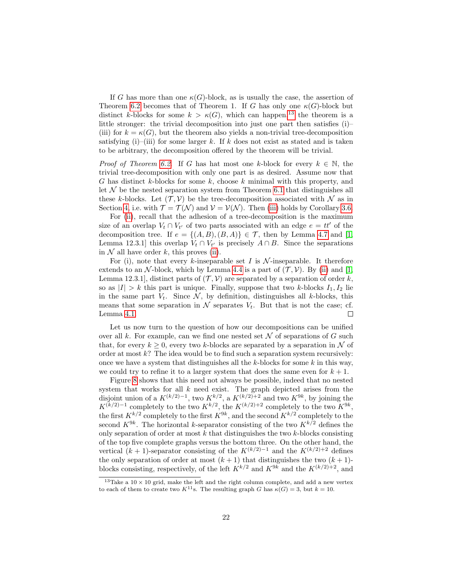If G has more than one  $\kappa(G)$ -block, as is usually the case, the assertion of Theorem [6.2](#page-20-1) becomes that of Theorem 1. If G has only one  $\kappa(G)$ -block but distinct k-blocks for some  $k > \kappa(G)$ , which can happen,<sup>[13](#page-21-0)</sup> the theorem is a little stronger: the trivial decomposition into just one part then satisfies (i)– (iii) for  $k = \kappa(G)$ , but the theorem also yields a non-trivial tree-decomposition satisfying (i)–(iii) for some larger k. If k does not exist as stated and is taken to be arbitrary, the decomposition offered by the theorem will be trivial.

*Proof of Theorem [6.2.](#page-20-1)* If G has hat most one k-block for every  $k \in \mathbb{N}$ , the trivial tree-decomposition with only one part is as desired. Assume now that G has distinct k-blocks for some k, choose k minimal with this property, and let  $N$  be the nested separation system from Theorem [6.1](#page-20-2) that distinguishes all these k-blocks. Let  $(\mathcal{T}, \mathcal{V})$  be the tree-decomposition associated with N as in Section [4,](#page-10-0) i.e. with  $\mathcal{T} = \mathcal{T}(\mathcal{N})$  and  $\mathcal{V} = \mathcal{V}(\mathcal{N})$ . Then [\(iii\)](#page-20-3) holds by Corollary [3.6.](#page-9-4)

For [\(ii\)](#page-20-4), recall that the adhesion of a tree-decomposition is the maximum size of an overlap  $V_t \cap V_{t'}$  of two parts associated with an edge  $e = tt'$  of the decomposition tree. If  $e = \{(A, B), (B, A)\}\in \mathcal{T}$ , then by Lemma [4.7](#page-16-1) and [\[1,](#page-28-7) Lemma 12.3.1] this overlap  $V_t \cap V_{t'}$  is precisely  $A \cap B$ . Since the separations in  $\mathcal N$  all have order k, this proves [\(ii\)](#page-20-4).

For (i), note that every k-inseparable set I is  $\mathcal N$ -inseparable. It therefore extends to an N-block, which by Lemma [4.4](#page-12-1) is a part of  $(\mathcal{T}, \mathcal{V})$ . By [\(ii\)](#page-20-4) and [\[1,](#page-28-7) Lemma 12.3.1, distinct parts of  $(\mathcal{T}, \mathcal{V})$  are separated by a separation of order k, so as  $|I| > k$  this part is unique. Finally, suppose that two k-blocks  $I_1, I_2$  lie in the same part  $V_t$ . Since  $\mathcal{N}$ , by definition, distinguishes all k-blocks, this means that some separation in  $\mathcal N$  separates  $V_t$ . But that is not the case; cf. Lemma [4.1.](#page-11-1)  $\Box$ 

Let us now turn to the question of how our decompositions can be unified over all k. For example, can we find one nested set  $\mathcal N$  of separations of G such that, for every  $k \geq 0$ , every two k-blocks are separated by a separation in N of order at most  $k$ ? The idea would be to find such a separation system recursively: once we have a system that distinguishes all the  $k$ -blocks for some  $k$  in this way, we could try to refine it to a larger system that does the same even for  $k + 1$ .

Figure [8](#page-22-0) shows that this need not always be possible, indeed that no nested system that works for all  $k$  need exist. The graph depicted arises from the disjoint union of a  $K^{(k/2)-1}$ , two  $K^{k/2}$ , a  $K^{(k/2)+2}$  and two  $K^{9k}$ , by joining the  $K^{(k/2)-1}$  completely to the two  $K^{k/2}$ , the  $K^{(k/2)+2}$  completely to the two  $K^{9k}$ , the first  $K^{k/2}$  completely to the first  $K^{9k}$ , and the second  $K^{k/2}$  completely to the second  $K^{9k}$ . The horizontal k-separator consisting of the two  $K^{k/2}$  defines the only separation of order at most  $k$  that distinguishes the two  $k$ -blocks consisting of the top five complete graphs versus the bottom three. On the other hand, the vertical  $(k + 1)$ -separator consisting of the  $K^{(k/2)-1}$  and the  $K^{(k/2)+2}$  defines the only separation of order at most  $(k + 1)$  that distinguishes the two  $(k + 1)$ blocks consisting, respectively, of the left  $K^{k/2}$  and  $K^{9k}$  and the  $K^{(k/2)+2}$ , and

<span id="page-21-0"></span> $13$ Take a  $10 \times 10$  grid, make the left and the right column complete, and add a new vertex to each of them to create two  $K^{11}$ s. The resulting graph G has  $\kappa(G) = 3$ , but  $k = 10$ .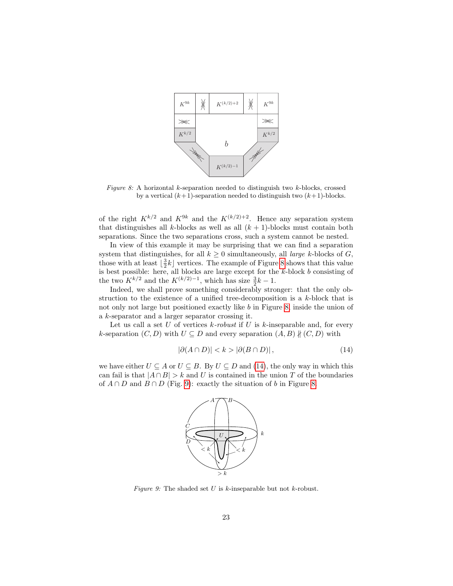<span id="page-22-0"></span>

Figure 8: A horizontal k-separation needed to distinguish two k-blocks, crossed by a vertical  $(k+1)$ -separation needed to distinguish two  $(k+1)$ -blocks.

of the right  $K^{k/2}$  and  $K^{9k}$  and the  $K^{(k/2)+2}$ . Hence any separation system that distinguishes all k-blocks as well as all  $(k + 1)$ -blocks must contain both separations. Since the two separations cross, such a system cannot be nested.

In view of this example it may be surprising that we can find a separation system that distinguishes, for all  $k \geq 0$  simultaneously, all *large k*-blocks of G, those with at least  $\lfloor \frac{3}{2}k \rfloor$  vertices. The example of Figure [8](#page-22-0) shows that this value is best possible: here, all blocks are large except for the k-block b consisting of the two  $K^{k/2}$  and the  $K^{(k/2)-1}$ , which has size  $\frac{3}{2}k-1$ .

Indeed, we shall prove something considerably stronger: that the only obstruction to the existence of a unified tree-decomposition is a k-block that is not only not large but positioned exactly like b in Figure [8,](#page-22-0) inside the union of a k-separator and a larger separator crossing it.

Let us call a set  $U$  of vertices  $k$ -robust if  $U$  is  $k$ -inseparable and, for every k-separation  $(C, D)$  with  $U \subseteq D$  and every separation  $(A, B) \nparallel (C, D)$  with

<span id="page-22-1"></span>
$$
|\partial(A \cap D)| < k > |\partial(B \cap D)| \,,\tag{14}
$$

<span id="page-22-2"></span>we have either  $U \subseteq A$  or  $U \subseteq B$ . By  $U \subseteq D$  and [\(14\)](#page-22-1), the only way in which this can fail is that  $|A \cap B| > k$  and U is contained in the union T of the boundaries of  $A \cap D$  and  $B \cap D$  (Fig. [9\)](#page-22-2): exactly the situation of b in Figure [8.](#page-22-0)



Figure 9: The shaded set U is  $k$ -inseparable but not  $k$ -robust.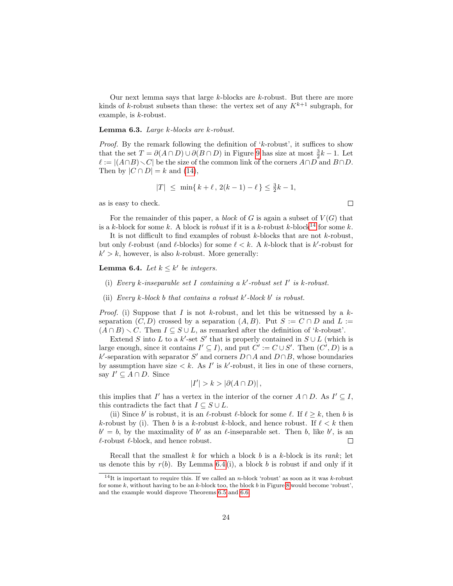Our next lemma says that large  $k$ -blocks are  $k$ -robust. But there are more kinds of k-robust subsets than these: the vertex set of any  $K^{k+1}$  subgraph, for example, is k-robust.

#### Lemma 6.3. Large k-blocks are k-robust.

*Proof.* By the remark following the definition of ' $k$ -robust', it suffices to show that the set  $T = \partial(A \cap D) \cup \partial(B \cap D)$  in Figure [9](#page-22-2) has size at most  $\frac{3}{2}k - 1$ . Let  $\ell := |(A \cap B) \setminus C|$  be the size of the common link of the corners  $A \cap D$  and  $B \cap D$ . Then by  $|C \cap D| = k$  and [\(14\)](#page-22-1),

$$
|T| \le \min\{k + \ell, 2(k - 1) - \ell\} \le \frac{3}{2}k - 1,
$$

as is easy to check.

For the remainder of this paper, a block of G is again a subset of  $V(G)$  that is a k-block for some k. A block is *robust* if it is a k-robust k-block<sup>[14](#page-23-0)</sup> for some k.

It is not difficult to find examples of robust  $k$ -blocks that are not  $k$ -robust, but only  $\ell$ -robust (and  $\ell$ -blocks) for some  $\ell < k$ . A k-block that is k'-robust for  $k' > k$ , however, is also k-robust. More generally:

#### <span id="page-23-1"></span>**Lemma 6.4.** Let  $k \leq k'$  be integers.

- (i) Every k-inseparable set I containing a  $k'$ -robust set I' is k-robust.
- (ii) Every  $k$ -block  $b$  that contains a robust  $k'$ -block  $b'$  is robust.

*Proof.* (i) Suppose that I is not k-robust, and let this be witnessed by a  $k$ separation  $(C, D)$  crossed by a separation  $(A, B)$ . Put  $S := C \cap D$  and  $L :=$  $(A \cap B) \setminus C$ . Then  $I \subseteq S \cup L$ , as remarked after the definition of 'k-robust'.

Extend S into L to a k'-set S' that is properly contained in  $S \cup L$  (which is large enough, since it contains  $I' \subseteq I$ , and put  $C' := C \cup S'$ . Then  $(C', D)$  is a k'-separation with separator S' and corners  $D \cap A$  and  $D \cap B$ , whose boundaries by assumption have size  $\langle k. \rangle$  As I' is k'-robust, it lies in one of these corners, say  $I' \subseteq A \cap D$ . Since

$$
|I'| > k > |\partial(A \cap D)|,
$$

this implies that I' has a vertex in the interior of the corner  $A \cap D$ . As  $I' \subseteq I$ , this contradicts the fact that  $I \subseteq S \cup L$ .

(ii) Since b' is robust, it is an  $\ell$ -robust  $\ell$ -block for some  $\ell$ . If  $\ell \geq k$ , then b is k-robust by (i). Then b is a k-robust k-block, and hence robust. If  $\ell < k$  then  $b' = b$ , by the maximality of b' as an  $\ell$ -inseparable set. Then b, like b', is an  $\ell$ -robust  $\ell$ -block, and hence robust.  $\Box$ 

Recall that the smallest  $k$  for which a block  $b$  is a  $k$ -block is its rank; let us denote this by  $r(b)$ . By Lemma [6.4](#page-23-1) (i), a block b is robust if and only if it

 $\Box$ 

<span id="page-23-0"></span><sup>&</sup>lt;sup>14</sup>It is important to require this. If we called an *n*-block 'robust' as soon as it was k-robust for some k, without having to be an k-block too, the block b in Figure [8](#page-22-0) would become 'robust', and the example would disprove Theorems [6.5](#page-24-0) and [6.6.](#page-27-0)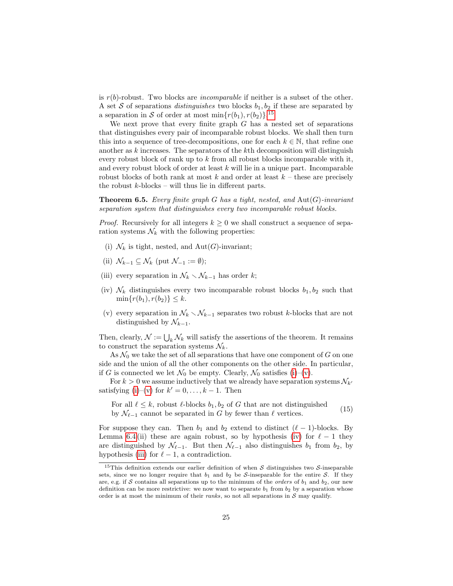is  $r(b)$ -robust. Two blocks are *incomparable* if neither is a subset of the other. A set S of separations *distinguishes* two blocks  $b_1, b_2$  if these are separated by a separation in S of order at most  $\min\{r(b_1), r(b_2)\}.$ <sup>[15](#page-24-1)</sup>

We next prove that every finite graph  $G$  has a nested set of separations that distinguishes every pair of incomparable robust blocks. We shall then turn this into a sequence of tree-decompositions, one for each  $k \in \mathbb{N}$ , that refine one another as  $k$  increases. The separators of the  $k$ th decomposition will distinguish every robust block of rank up to  $k$  from all robust blocks incomparable with it, and every robust block of order at least  $k$  will lie in a unique part. Incomparable robust blocks of both rank at most k and order at least  $k$  – these are precisely the robust  $k$ -blocks – will thus lie in different parts.

<span id="page-24-0"></span>**Theorem 6.5.** Every finite graph G has a tight, nested, and  $\text{Aut}(G)$ -invariant separation system that distinguishes every two incomparable robust blocks.

*Proof.* Recursively for all integers  $k \geq 0$  we shall construct a sequence of separation systems  $\mathcal{N}_k$  with the following properties:

- <span id="page-24-2"></span>(i)  $\mathcal{N}_k$  is tight, nested, and  $\mathrm{Aut}(G)$ -invariant;
- <span id="page-24-7"></span>(ii)  $\mathcal{N}_{k-1} \subset \mathcal{N}_k$  (put  $\mathcal{N}_{-1} := \emptyset$ );
- <span id="page-24-5"></span>(iii) every separation in  $\mathcal{N}_k \setminus \mathcal{N}_{k-1}$  has order k;
- <span id="page-24-4"></span>(iv)  $\mathcal{N}_k$  distinguishes every two incomparable robust blocks  $b_1, b_2$  such that  $\min\{r(b_1), r(b_2)\} \leq k$ .
- <span id="page-24-3"></span>(v) every separation in  $\mathcal{N}_k \setminus \mathcal{N}_{k-1}$  separates two robust k-blocks that are not distinguished by  $\mathcal{N}_{k-1}$ .

Then, clearly,  $\mathcal{N} := \bigcup_k \mathcal{N}_k$  will satisfy the assertions of the theorem. It remains to construct the separation systems  $\mathcal{N}_k$ .

As  $\mathcal{N}_0$  we take the set of all separations that have one component of G on one side and the union of all the other components on the other side. In particular, if G is connected we let  $\mathcal{N}_0$  be empty. Clearly,  $\mathcal{N}_0$  satisfies [\(i\)](#page-24-2)–[\(v\)](#page-24-3).

For  $k > 0$  we assume inductively that we already have separation systems  $\mathcal{N}_{k'}$ satisfying [\(i\)](#page-24-2)–[\(v\)](#page-24-3) for  $k' = 0, \ldots, k - 1$ . Then

<span id="page-24-6"></span>For all  $\ell \leq k$ , robust  $\ell$ -blocks  $b_1, b_2$  of G that are not distinguished by  $\mathcal{N}_{\ell-1}$  cannot be separated in G by fewer than  $\ell$  vertices. (15)

For suppose they can. Then  $b_1$  and  $b_2$  extend to distinct  $(\ell - 1)$ -blocks. By Lemma [6.4](#page-23-1) (ii) these are again robust, so by hypothesis [\(iv\)](#page-24-4) for  $\ell - 1$  they are distinguished by  $\mathcal{N}_{\ell-1}$ . But then  $\mathcal{N}_{\ell-1}$  also distinguishes  $b_1$  from  $b_2$ , by hypothesis [\(iii\)](#page-24-5) for  $\ell - 1$ , a contradiction.

<span id="page-24-1"></span><sup>&</sup>lt;sup>15</sup>This definition extends our earlier definition of when  $S$  distinguishes two  $S$ -inseparable sets, since we no longer require that  $b_1$  and  $b_2$  be S-inseparable for the entire S. If they are, e.g. if S contains all separations up to the minimum of the *orders* of  $b_1$  and  $b_2$ , our new definition can be more restrictive: we now want to separate  $b_1$  from  $b_2$  by a separation whose order is at most the minimum of their *ranks*, so not all separations in  $S$  may qualify.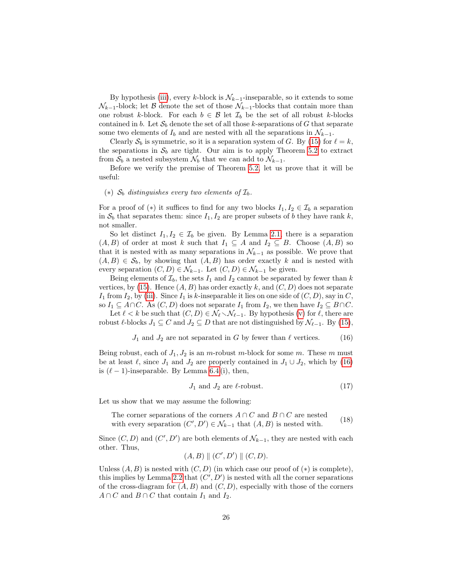By hypothesis [\(iii\)](#page-24-5), every k-block is  $\mathcal{N}_{k-1}$ -inseparable, so it extends to some  $\mathcal{N}_{k-1}$ -block; let B denote the set of those  $\mathcal{N}_{k-1}$ -blocks that contain more than one robust k-block. For each  $b \in \mathcal{B}$  let  $\mathcal{I}_b$  be the set of all robust k-blocks contained in b. Let  $S_b$  denote the set of all those k-separations of G that separate some two elements of  $I_b$  and are nested with all the separations in  $\mathcal{N}_{k-1}$ .

Clearly  $S_b$  is symmetric, so it is a separation system of G. By [\(15\)](#page-24-6) for  $\ell = k$ , the separations in  $S_b$  are tight. Our aim is to apply Theorem [5.2](#page-18-1) to extract from  $S_b$  a nested subsystem  $\mathcal{N}_b$  that we can add to  $\mathcal{N}_{k-1}$ .

Before we verify the premise of Theorem [5.2,](#page-18-1) let us prove that it will be useful:

#### (\*)  $S_b$  distinguishes every two elements of  $\mathcal{I}_b$ .

For a proof of (\*) it suffices to find for any two blocks  $I_1, I_2 \in \mathcal{I}_b$  a separation in  $S_b$  that separates them: since  $I_1, I_2$  are proper subsets of b they have rank k, not smaller.

So let distinct  $I_1, I_2 \in \mathcal{I}_b$  be given. By Lemma [2.1,](#page-3-1) there is a separation  $(A, B)$  of order at most k such that  $I_1 \subseteq A$  and  $I_2 \subseteq B$ . Choose  $(A, B)$  so that it is nested with as many separations in  $\mathcal{N}_{k-1}$  as possible. We prove that  $(A, B) \in S_b$ , by showing that  $(A, B)$  has order exactly k and is nested with every separation  $(C, D) \in \mathcal{N}_{k-1}$ . Let  $(C, D) \in \mathcal{N}_{k-1}$  be given.

Being elements of  $\mathcal{I}_b$ , the sets  $I_1$  and  $I_2$  cannot be separated by fewer than k vertices, by [\(15\)](#page-24-6). Hence  $(A, B)$  has order exactly k, and  $(C, D)$  does not separate  $I_1$  from  $I_2$ , by [\(iii\)](#page-24-5). Since  $I_1$  is k-inseparable it lies on one side of  $(C, D)$ , say in C, so  $I_1 \subseteq A \cap C$ . As  $(C, D)$  does not separate  $I_1$  from  $I_2$ , we then have  $I_2 \subseteq B \cap C$ .

Let  $\ell < k$  be such that  $(C, D) \in \mathcal{N}_{\ell} \setminus \mathcal{N}_{\ell-1}$ . By hypothesis [\(v\)](#page-24-3) for  $\ell$ , there are robust  $\ell$ -blocks  $J_1 \subseteq C$  and  $J_2 \subseteq D$  that are not distinguished by  $\mathcal{N}_{\ell-1}$ . By [\(15\)](#page-24-6),

<span id="page-25-0"></span>
$$
J_1
$$
 and  $J_2$  are not separated in G by fewer than  $\ell$  vertices. (16)

Being robust, each of  $J_1, J_2$  is an m-robust m-block for some m. These m must be at least  $\ell$ , since  $J_1$  and  $J_2$  are properly contained in  $J_1 \cup J_2$ , which by [\(16\)](#page-25-0) is  $(\ell - 1)$ -inseparable. By Lemma [6.4](#page-23-1) (i), then,

<span id="page-25-2"></span>
$$
J_1 \text{ and } J_2 \text{ are } \ell\text{-robust.} \tag{17}
$$

Let us show that we may assume the following:

<span id="page-25-1"></span>The corner separations of the corners 
$$
A \cap C
$$
 and  $B \cap C$  are nested  
with every separation  $(C', D') \in \mathcal{N}_{k-1}$  that  $(A, B)$  is nested with. (18)

Since  $(C, D)$  and  $(C', D')$  are both elements of  $\mathcal{N}_{k-1}$ , they are nested with each other. Thus,

(A, B) k (C 0 , D<sup>0</sup> ) k (C, D).

Unless  $(A, B)$  is nested with  $(C, D)$  (in which case our proof of  $(*)$ ) is complete), this implies by Lemma [2.2](#page-6-1) that  $(C', D')$  is nested with all the corner separations of the cross-diagram for  $(A, B)$  and  $(C, D)$ , especially with those of the corners  $A \cap C$  and  $B \cap C$  that contain  $I_1$  and  $I_2$ .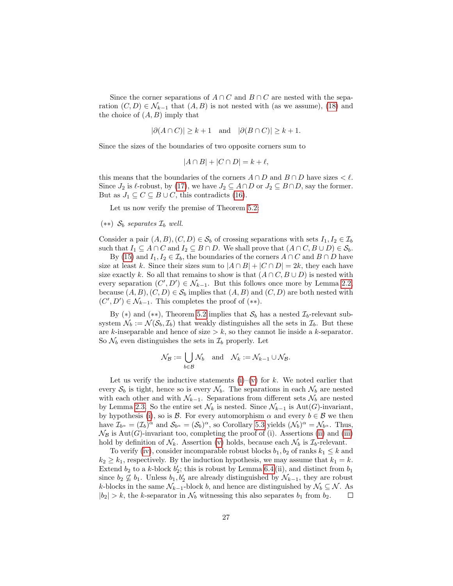Since the corner separations of  $A \cap C$  and  $B \cap C$  are nested with the separation  $(C, D) \in \mathcal{N}_{k-1}$  that  $(A, B)$  is not nested with (as we assume), [\(18\)](#page-25-1) and the choice of  $(A, B)$  imply that

$$
|\partial(A \cap C)| \ge k + 1 \quad \text{and} \quad |\partial(B \cap C)| \ge k + 1.
$$

Since the sizes of the boundaries of two opposite corners sum to

$$
|A \cap B| + |C \cap D| = k + \ell,
$$

this means that the boundaries of the corners  $A \cap D$  and  $B \cap D$  have sizes  $\lt \ell$ . Since  $J_2$  is  $\ell$ -robust, by [\(17\)](#page-25-2), we have  $J_2 \subseteq A \cap D$  or  $J_2 \subseteq B \cap D$ , say the former. But as  $J_1 \subseteq C \subseteq B \cup C$ , this contradicts [\(16\)](#page-25-0).

Let us now verify the premise of Theorem [5.2:](#page-18-1)

 $(**)$   $S_b$  separates  $\mathcal{I}_b$  well.

Consider a pair  $(A, B), (C, D) \in S_b$  of crossing separations with sets  $I_1, I_2 \in \mathcal{I}_b$ such that  $I_1 \subseteq A \cap C$  and  $I_2 \subseteq B \cap D$ . We shall prove that  $(A \cap C, B \cup D) \in S_b$ .

By [\(15\)](#page-24-6) and  $I_1, I_2 \in \mathcal{I}_b$ , the boundaries of the corners  $A \cap C$  and  $B \cap D$  have size at least k. Since their sizes sum to  $|A \cap B| + |C \cap D| = 2k$ , they each have size exactly k. So all that remains to show is that  $(A \cap C, B \cup D)$  is nested with every separation  $(C', D') \in \mathcal{N}_{k-1}$ . But this follows once more by Lemma [2.2,](#page-6-1) because  $(A, B), (C, D) \in \mathcal{S}_b$  implies that  $(A, B)$  and  $(C, D)$  are both nested with  $(C', D') \in \mathcal{N}_{k-1}$ . This completes the proof of  $(**)$ .

By (\*) and (\*\*), Theorem [5.2](#page-18-1) implies that  $S_b$  has a nested  $\mathcal{I}_b$ -relevant subsystem  $\mathcal{N}_b := \mathcal{N}(\mathcal{S}_b, \mathcal{I}_b)$  that weakly distinguishes all the sets in  $\mathcal{I}_b$ . But these are k-inseparable and hence of size  $\geq k$ , so they cannot lie inside a k-separator. So  $\mathcal{N}_b$  even distinguishes the sets in  $\mathcal{I}_b$  properly. Let

$$
\mathcal{N}_{\mathcal{B}} := \bigcup_{b \in \mathcal{B}} \mathcal{N}_b \quad \text{and} \quad \mathcal{N}_k := \mathcal{N}_{k-1} \cup \mathcal{N}_{\mathcal{B}}.
$$

Let us verify the inductive statements  $(i)-(v)$  $(i)-(v)$  for k. We noted earlier that every  $S_b$  is tight, hence so is every  $\mathcal{N}_b$ . The separations in each  $\mathcal{N}_b$  are nested with each other and with  $\mathcal{N}_{k-1}$ . Separations from different sets  $\mathcal{N}_b$  are nested by Lemma [2.3.](#page-7-2) So the entire set  $\mathcal{N}_k$  is nested. Since  $\mathcal{N}_{k-1}$  is Aut(G)-invariant, by hypothesis [\(i\)](#page-24-2), so is  $\mathcal{B}$ . For every automorphism  $\alpha$  and every  $b \in \mathcal{B}$  we then have  $\mathcal{I}_{b^{\alpha}} = (\mathcal{I}_{b})^{\alpha}$  and  $\mathcal{S}_{b^{\alpha}} = (\mathcal{S}_{b})^{\alpha}$ , so Corollary [5.3](#page-19-1) yields  $(\mathcal{N}_{b})^{\alpha} = \mathcal{N}_{b^{\alpha}}$ . Thus,  $\mathcal{N}_{\mathcal{B}}$  is Aut(G)-invariant too, completing the proof of (i). Assertions [\(ii\)](#page-24-7) and [\(iii\)](#page-24-5) hold by definition of  $\mathcal{N}_k$ . Assertion [\(v\)](#page-24-3) holds, because each  $\mathcal{N}_b$  is  $\mathcal{I}_b$ -relevant.

To verify [\(iv\)](#page-24-4), consider incomparable robust blocks  $b_1, b_2$  of ranks  $k_1 \leq k$  and  $k_2 \geq k_1$ , respectively. By the induction hypothesis, we may assume that  $k_1 = k$ . Extend  $b_2$  to a k-block  $b'_2$ ; this is robust by Lemma [6.4](#page-23-1) (ii), and distinct from  $b_1$ since  $b_2 \nsubseteq b_1$ . Unless  $b_1, b_2'$  are already distinguished by  $\mathcal{N}_{k-1}$ , they are robust k-blocks in the same  $\mathcal{N}_{k-1}$ -block b, and hence are distinguished by  $\mathcal{N}_b \subseteq \mathcal{N}$ . As  $|b_2| > k$ , the k-separator in  $\mathcal{N}_b$  witnessing this also separates  $b_1$  from  $b_2$ .  $\Box$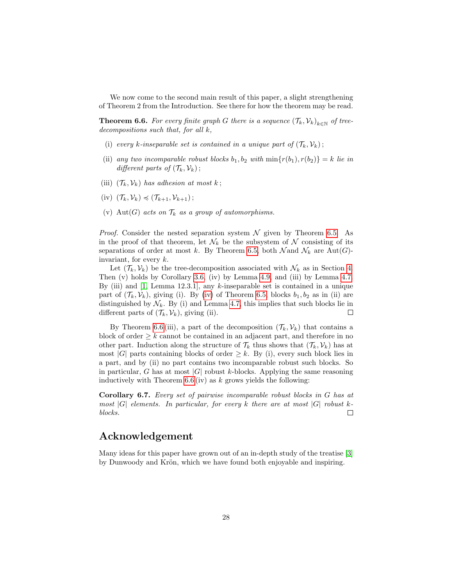We now come to the second main result of this paper, a slight strengthening of Theorem 2 from the Introduction. See there for how the theorem may be read.

<span id="page-27-0"></span>**Theorem 6.6.** For every finite graph G there is a sequence  $(\mathcal{T}_k, \mathcal{V}_k)_{k \in \mathbb{N}}$  of treedecompositions such that, for all k,

- (i) every k-inseparable set is contained in a unique part of  $(\mathcal{T}_k, \mathcal{V}_k)$ ;
- (ii) any two incomparable robust blocks  $b_1, b_2$  with  $\min\{r(b_1), r(b_2)\} = k$  lie in different parts of  $(\mathcal{T}_k, \mathcal{V}_k)$ ;
- (iii)  $(\mathcal{T}_k, \mathcal{V}_k)$  has adhesion at most k;
- (iv)  $(\mathcal{T}_k, \mathcal{V}_k) \preccurlyeq (\mathcal{T}_{k+1}, \mathcal{V}_{k+1})$ ;
- (v) Aut(G) acts on  $\mathcal{T}_k$  as a group of automorphisms.

*Proof.* Consider the nested separation system  $\mathcal N$  given by Theorem [6.5.](#page-24-0) As in the proof of that theorem, let  $\mathcal{N}_k$  be the subsystem of N consisting of its separations of order at most k. By Theorem [6.5,](#page-24-0) both  $\mathcal{N}$  and  $\mathcal{N}_k$  are Aut(G)invariant, for every  $k$ .

Let  $(\mathcal{T}_k, \mathcal{V}_k)$  be the tree-decomposition associated with  $\mathcal{N}_k$  as in Section [4.](#page-10-0) Then (v) holds by Corollary [3.6,](#page-9-4) (iv) by Lemma [4.9,](#page-16-3) and (iii) by Lemma [4.7.](#page-16-1) By (iii) and [\[1,](#page-28-7) Lemma 12.3.1], any  $k$ -inseparable set is contained in a unique part of  $(\mathcal{T}_k, \mathcal{V}_k)$ , giving (i). By [\(iv\)](#page-24-4) of Theorem [6.5,](#page-24-0) blocks  $b_1, b_2$  as in (ii) are distinguished by  $\mathcal{N}_k$ . By (i) and Lemma [4.7,](#page-16-1) this implies that such blocks lie in different parts of  $(\mathcal{T}_k, \mathcal{V}_k)$ , giving (ii).  $\Box$ 

By Theorem [6.6](#page-27-0) (iii), a part of the decomposition  $(\mathcal{T}_k, \mathcal{V}_k)$  that contains a block of order  $\geq k$  cannot be contained in an adjacent part, and therefore in no other part. Induction along the structure of  $\mathcal{T}_k$  thus shows that  $(\mathcal{T}_k, \mathcal{V}_k)$  has at most |G| parts containing blocks of order  $\geq k$ . By (i), every such block lies in a part, and by (ii) no part contains two incomparable robust such blocks. So in particular, G has at most  $|G|$  robust k-blocks. Applying the same reasoning inductively with Theorem  $6.6$  (iv) as k grows yields the following:

Corollary 6.7. Every set of pairwise incomparable robust blocks in G has at most  $|G|$  elements. In particular, for every k there are at most  $|G|$  robust kblocks.  $\Box$ 

### Acknowledgement

Many ideas for this paper have grown out of an in-depth study of the treatise [\[3\]](#page-28-2) by Dunwoody and Krön, which we have found both enjoyable and inspiring.